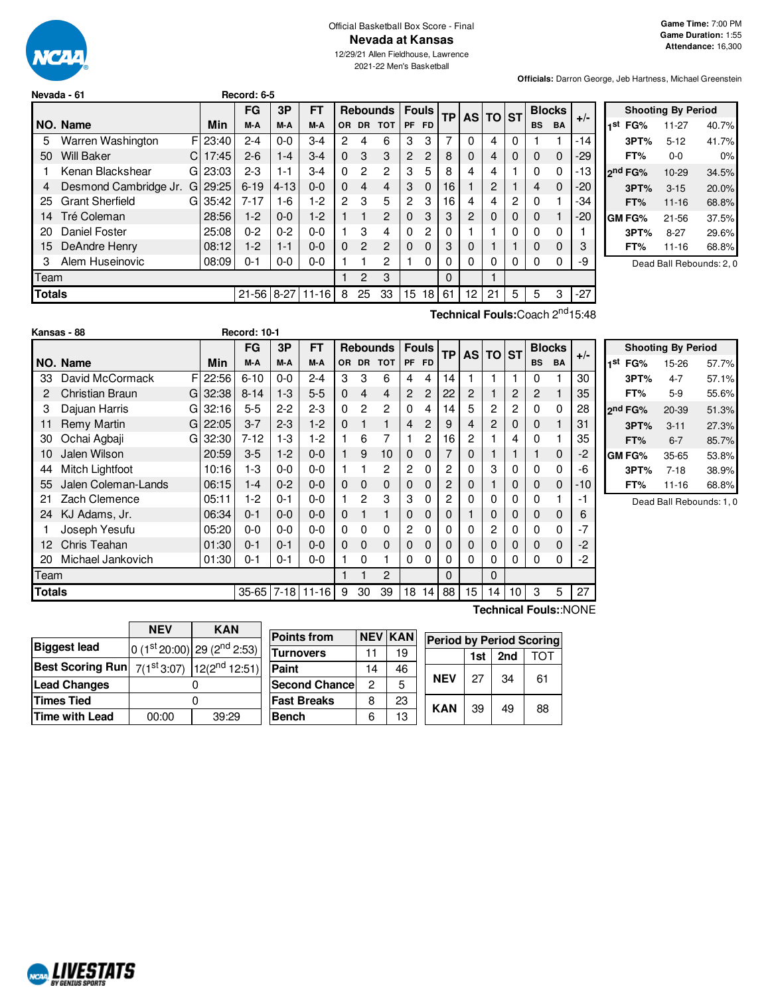

#### Official Basketball Box Score - Final **Nevada at Kansas**

12/29/21 Allen Fieldhouse, Lawrence 2021-22 Men's Basketball

**Officials:** Darron George, Jeb Hartness, Michael Greenstein

|               | Nevada - 61            |    |          | Record: 6-5 |          |           |              |              |                 |                |                |            |          |                 |          |           |               |       |                 |
|---------------|------------------------|----|----------|-------------|----------|-----------|--------------|--------------|-----------------|----------------|----------------|------------|----------|-----------------|----------|-----------|---------------|-------|-----------------|
|               |                        |    |          | <b>FG</b>   | 3P       | FT        |              |              | <b>Rebounds</b> |                | <b>Fouls</b>   | <b>TPI</b> |          | <b>AS TO ST</b> |          |           | <b>Blocks</b> |       |                 |
|               | NO. Name               |    | Min      | M-A         | M-A      | M-A       | <b>OR</b>    | <b>DR</b>    | <b>TOT</b>      | PF             | FD.            |            |          |                 |          | <b>BS</b> | <b>BA</b>     | $+/-$ | 1st             |
| 5             | Warren Washington      |    | FI 23:40 | $2 - 4$     | $0 - 0$  | $3-4$     | 2            | 4            | 6               | 3              | 3              |            | 0        | 4               | $\Omega$ |           |               | $-14$ |                 |
| 50            | <b>Will Baker</b>      | C. | 17:45    | $2 - 6$     | $1 - 4$  | $3-4$     | $\Omega$     | 3            | 3               | 2              | 2              | 8          | $\Omega$ | 4               | 0        | 0         | $\mathbf 0$   | -29   |                 |
|               | Kenan Blackshear       | G  | 23:03    | $2 - 3$     | $1 - 1$  | $3-4$     | $\Omega$     | 2            | $\overline{c}$  | 3              | 5              | 8          | 4        | 4               |          | 0         | $\Omega$      | -13   | 2 <sub>nd</sub> |
| 4             | Desmond Cambridge Jr.  | G  | 29:25    | $6 - 19$    | $4 - 13$ | $0-0$     | $\Omega$     | 4            | $\overline{4}$  | 3              | $\Omega$       | 16         |          | 2               |          | 4         | $\mathbf 0$   | $-20$ |                 |
| 25            | <b>Grant Sherfield</b> | GI | 35:42    | $7 - 17$    | $1-6$    | $1-2$     | $\mathbf{2}$ | 3            | 5               | $\overline{c}$ | 3              | 16         | 4        | 4               | 2        | 0         |               | -34   |                 |
| 14            | Tré Coleman            |    | 28:56    | $1-2$       | $0-0$    | $1-2$     |              |              | $\mathbf{2}$    | $\Omega$       | 3              | 3          | 2        | 0               | 0        | $\Omega$  |               | -20   | GM              |
| 20            | Daniel Foster          |    | 25:08    | $0 - 2$     | $0 - 2$  | $0 - 0$   |              | 3            | 4               | $\Omega$       | $\overline{c}$ | 0          |          |                 |          | 0         | 0             |       |                 |
| 15            | DeAndre Henry          |    | 08:12    | $1-2$       | $1 - 1$  | $0 - 0$   | $\Omega$     | 2            | $\overline{2}$  | $\Omega$       | $\Omega$       | 3          | $\Omega$ |                 |          | $\Omega$  | $\Omega$      | 3     |                 |
| з             | Alem Huseinovic        |    | 08:09    | $0 - 1$     | $0-0$    | $0 - 0$   |              |              | 2               |                | $\Omega$       | 0          | 0        | 0               | 0        | 0         | $\Omega$      | -9    |                 |
| Team          |                        |    |          |             |          |           |              | $\mathbf{P}$ | 3               |                |                | $\Omega$   |          |                 |          |           |               |       |                 |
| <b>Totals</b> |                        |    |          | $21 - 56$   | $8 - 27$ | $11 - 16$ | 8            | 25           | 33              | 15             | 18             | 61         | 12       | 21              | 5        | 5         | 3             | $-27$ |                 |

| <b>Shooting By Period</b> |                     |                         |       |  |  |  |  |  |  |  |  |  |
|---------------------------|---------------------|-------------------------|-------|--|--|--|--|--|--|--|--|--|
| 1st                       | FG%                 | 11-27                   | 40.7% |  |  |  |  |  |  |  |  |  |
|                           | 3PT%                | $5 - 12$                | 41.7% |  |  |  |  |  |  |  |  |  |
|                           | FT%                 | $0 - 0$                 | 0%    |  |  |  |  |  |  |  |  |  |
|                           | 2 <sup>nd</sup> FG% | $10-29$                 | 34.5% |  |  |  |  |  |  |  |  |  |
|                           | 3PT%                | $3 - 15$                | 20.0% |  |  |  |  |  |  |  |  |  |
|                           | FT%                 | $11 - 16$               | 68.8% |  |  |  |  |  |  |  |  |  |
|                           | GM FG%              | $21 - 56$               | 37.5% |  |  |  |  |  |  |  |  |  |
|                           | 3PT%                | $8-27$                  | 29.6% |  |  |  |  |  |  |  |  |  |
|                           | FT%                 | 11-16                   | 68.8% |  |  |  |  |  |  |  |  |  |
|                           |                     | Dood Dell Debounder 0.0 |       |  |  |  |  |  |  |  |  |  |

Dead Ball Rebounds: 2, 0

|        | Kansas - 88            |             | <b>Record: 10-1</b> |          |           |              |                |                 |          |              |           |    |              |    |           |               |       |         |
|--------|------------------------|-------------|---------------------|----------|-----------|--------------|----------------|-----------------|----------|--------------|-----------|----|--------------|----|-----------|---------------|-------|---------|
|        |                        |             | FG                  | 3P       | FT        |              |                | <b>Rebounds</b> |          | <b>Fouls</b> | <b>TP</b> |    | AS TO ST     |    |           | <b>Blocks</b> |       |         |
|        | NO. Name               | Min         | M-A                 | M-A      | M-A       | OR.          | <b>DR</b>      | <b>TOT</b>      |          | PF FD        |           |    |              |    | <b>BS</b> | <b>BA</b>     | $+/-$ | 11      |
| 33     | David McCormack        | F<br>22:56  | $6 - 10$            | $0-0$    | $2 - 4$   | 3            | 3              | 6               | 4        | 4            | 14        |    |              |    | $\Omega$  |               | 30    |         |
| 2      | <b>Christian Braun</b> | 32:38<br>GI | $8 - 14$            | $1 - 3$  | $5-5$     | $\Omega$     | $\overline{4}$ | 4               | 2        | 2            | 22        | 2  |              | 2  | 2         |               | 35    |         |
| 3      | Dajuan Harris          | 32:16<br>G  | $5 - 5$             | $2 - 2$  | $2 - 3$   | $\Omega$     | 2              | 2               | 0        | 4            | 14        | 5  | 2            | 2  | 0         | 0             | 28    | $2^{1}$ |
| 11     | <b>Remy Martin</b>     | 22:05<br>GI | $3 - 7$             | $2 - 3$  | $1-2$     | $\Omega$     |                | 1               | 4        | 2            | 9         | 4  | $\mathbf{2}$ | 0  | 0         |               | 31    |         |
| 30     | Ochai Agbaji           | 32:30<br>G  | $7 - 12$            | $1-3$    | $1-2$     | 1            | 6              | 7               |          | 2            | 16        | 2  |              | 4  | 0         |               | 35    |         |
| 10     | Jalen Wilson           | 20:59       | $3-5$               | $1-2$    | $0 - 0$   | 1            | 9              | 10              | 0        | 0            |           | 0  |              |    |           | 0             | $-2$  | G       |
| 44     | Mitch Lightfoot        | 10:16       | 1-3                 | $0 - 0$  | $0 - 0$   | 1            |                | 2               | 2        | $\Omega$     | 2         | 0  | 3            | 0  | 0         | 0             | -6    |         |
| 55     | Jalen Coleman-Lands    | 06:15       | $1 - 4$             | $0 - 2$  | $0-0$     | $\mathbf{0}$ | 0              | 0               | 0        | 0            | 2         | 0  |              | 0  | 0         | 0             | -10   |         |
| 21     | Zach Clemence          | 05:11       | 1-2                 | $0 - 1$  | $0 - 0$   | 1            | 2              | 3               | 3        | $\Omega$     | 2         | 0  | $\Omega$     | 0  | 0         |               | -1    |         |
| 24     | KJ Adams, Jr.          | 06:34       | $0 - 1$             | $0 - 0$  | $0 - 0$   | $\mathbf 0$  |                | 1               | 0        | $\Omega$     | $\Omega$  |    | $\Omega$     | 0  | 0         | 0             | 6     |         |
|        | Joseph Yesufu          | 05:20       | $0-0$               | $0 - 0$  | $0 - 0$   | $\mathbf 0$  | 0              | $\Omega$        | 2        | $\Omega$     | 0         | 0  | 2            | 0  | 0         | $\Omega$      | $-7$  |         |
| 12     | Chris Teahan           | 01:30       | $0 - 1$             | $0 - 1$  | $0 - 0$   | $\mathbf{0}$ | $\Omega$       | $\Omega$        | $\Omega$ | $\Omega$     | 0         | 0  | $\Omega$     | 0  | 0         | 0             | $-2$  |         |
| 20     | Michael Jankovich      | 01:30       | $0 - 1$             | $0 - 1$  | $0 - 0$   |              | 0              | 1               | 0        | 0            | 0         | 0  | $\Omega$     | 0  | 0         | 0             | -2    |         |
| Team   |                        |             |                     |          |           |              |                | $\overline{2}$  |          |              | $\Omega$  |    | $\Omega$     |    |           |               |       |         |
| Totals |                        |             | $35 - 65$           | $7 - 18$ | $11 - 16$ | 9            | 30             | 39              | 18       | 14           | 88        | 15 | 14           | 10 | 3         | 5             | 27    |         |

**Technical Fouls:**Coach 2 nd15:48

|     |                     | <b>Shooting By Period</b> |       |
|-----|---------------------|---------------------------|-------|
| 1st | FG%                 | 15-26                     | 57.7% |
|     | 3PT%                | $4 - 7$                   | 57.1% |
|     | FT%                 | $5-9$                     | 55.6% |
|     | 2 <sup>nd</sup> FG% | $20 - 39$                 | 51.3% |
|     | 3PT%                | $3 - 11$                  | 27.3% |
|     | FT%                 | $6 - 7$                   | 85.7% |
|     | GM FG%              | 35-65                     | 53.8% |
|     | 3PT%                | $7-18$                    | 38.9% |
|     | FT%                 | 11-16                     | 68.8% |

Dead Ball Rebounds: 1, 0

|                         | <b>NEV</b> | <b>KAN</b>                                |
|-------------------------|------------|-------------------------------------------|
| <b>Biggest lead</b>     |            | 0 (1st 20:00) 29 (2 <sup>nd</sup> 2:53)   |
| <b>Best Scoring Run</b> |            | $7(1^{st}3:07)$ 12(2 <sup>nd</sup> 12:51) |
| <b>Lead Changes</b>     |            |                                           |
| <b>Times Tied</b>       |            |                                           |
| <b>Time with Lead</b>   | 00:00      | 39:29                                     |
|                         |            |                                           |

| <b>Points from</b>    |    | <b>NEV KAN</b> | <b>Period by Period Scoring</b> |            |     |     |    |  |  |  |  |  |  |
|-----------------------|----|----------------|---------------------------------|------------|-----|-----|----|--|--|--|--|--|--|
| Turnovers             | 11 | 19             |                                 |            | 1st | 2nd |    |  |  |  |  |  |  |
| Paint                 | 14 | 46             |                                 |            |     |     |    |  |  |  |  |  |  |
| <b>Second Chancel</b> | 2  | 5              |                                 | <b>NEV</b> | 27  | 34  | 61 |  |  |  |  |  |  |
| Fast Breaks           | 8  | 23             |                                 | <b>KAN</b> | 39  | 49  | 88 |  |  |  |  |  |  |
| Bench                 | 6  | 13             |                                 |            |     |     |    |  |  |  |  |  |  |

**Technical Fouls:**:NONE

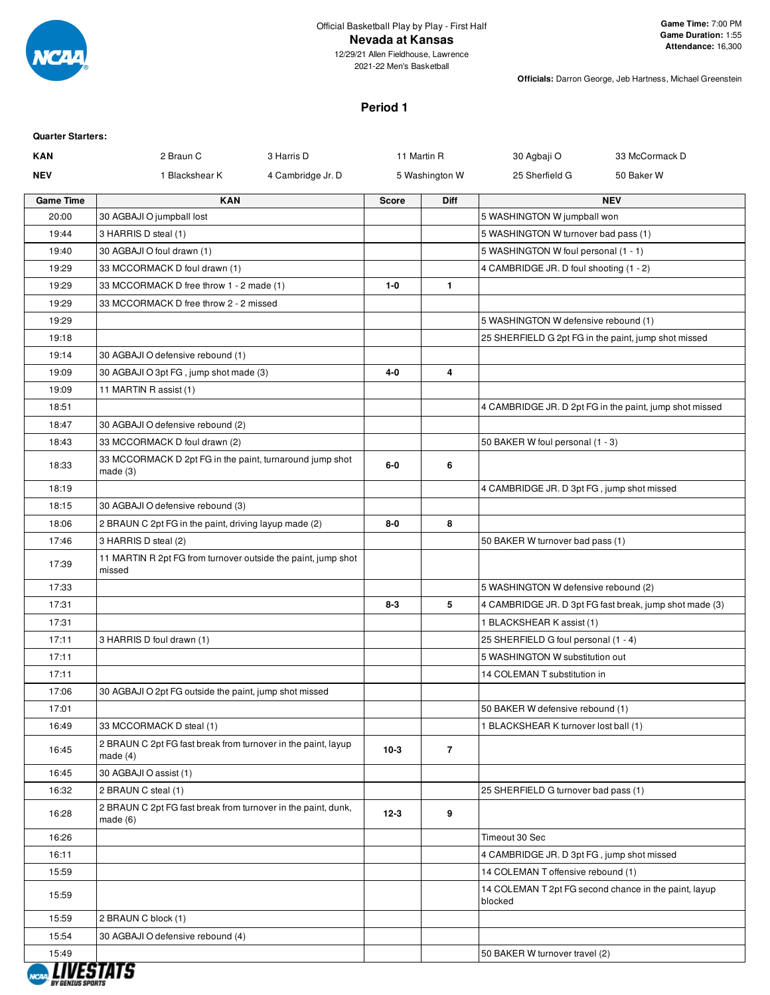

#### Official Basketball Play by Play - First Half **Nevada at Kansas** 12/29/21 Allen Fieldhouse, Lawrence

2021-22 Men's Basketball

**Officials:** Darron George, Jeb Hartness, Michael Greenstein

# **Period 1**

| <b>Quarter Starters:</b> |                                                                             |                   |             |                |                                            |                                                         |
|--------------------------|-----------------------------------------------------------------------------|-------------------|-------------|----------------|--------------------------------------------|---------------------------------------------------------|
| <b>KAN</b>               | 2 Braun C                                                                   | 3 Harris D        | 11 Martin R |                | 30 Agbaji O                                | 33 McCormack D                                          |
| <b>NEV</b>               | 1 Blackshear K                                                              | 4 Cambridge Jr. D |             | 5 Washington W | 25 Sherfield G                             | 50 Baker W                                              |
| <b>Game Time</b>         | <b>KAN</b>                                                                  |                   | Score       | <b>Diff</b>    |                                            | <b>NEV</b>                                              |
| 20:00                    | 30 AGBAJI O jumpball lost                                                   |                   |             |                | 5 WASHINGTON W jumpball won                |                                                         |
| 19:44                    | 3 HARRIS D steal (1)                                                        |                   |             |                | 5 WASHINGTON W turnover bad pass (1)       |                                                         |
| 19:40                    | 30 AGBAJI O foul drawn (1)                                                  |                   |             |                | 5 WASHINGTON W foul personal (1 - 1)       |                                                         |
| 19:29                    | 33 MCCORMACK D foul drawn (1)                                               |                   |             |                | 4 CAMBRIDGE JR. D foul shooting (1 - 2)    |                                                         |
| 19:29                    | 33 MCCORMACK D free throw 1 - 2 made (1)                                    |                   | $1 - 0$     | $\mathbf{1}$   |                                            |                                                         |
| 19:29                    | 33 MCCORMACK D free throw 2 - 2 missed                                      |                   |             |                |                                            |                                                         |
| 19:29                    |                                                                             |                   |             |                | 5 WASHINGTON W defensive rebound (1)       |                                                         |
| 19:18                    |                                                                             |                   |             |                |                                            | 25 SHERFIELD G 2pt FG in the paint, jump shot missed    |
| 19:14                    | 30 AGBAJI O defensive rebound (1)                                           |                   |             |                |                                            |                                                         |
| 19:09                    | 30 AGBAJI O 3pt FG, jump shot made (3)                                      |                   | $4 - 0$     | 4              |                                            |                                                         |
| 19:09                    | 11 MARTIN R assist (1)                                                      |                   |             |                |                                            |                                                         |
| 18:51                    |                                                                             |                   |             |                |                                            | 4 CAMBRIDGE JR. D 2pt FG in the paint, jump shot missed |
| 18:47                    | 30 AGBAJI O defensive rebound (2)                                           |                   |             |                |                                            |                                                         |
| 18:43                    | 33 MCCORMACK D foul drawn (2)                                               |                   |             |                | 50 BAKER W foul personal (1 - 3)           |                                                         |
| 18:33                    | 33 MCCORMACK D 2pt FG in the paint, turnaround jump shot<br>made(3)         |                   | 6-0         | 6              |                                            |                                                         |
| 18:19                    |                                                                             |                   |             |                | 4 CAMBRIDGE JR. D 3pt FG, jump shot missed |                                                         |
| 18:15                    | 30 AGBAJI O defensive rebound (3)                                           |                   |             |                |                                            |                                                         |
| 18:06                    | 2 BRAUN C 2pt FG in the paint, driving layup made (2)                       |                   | $8-0$       | 8              |                                            |                                                         |
| 17:46                    | 3 HARRIS D steal (2)                                                        |                   |             |                | 50 BAKER W turnover bad pass (1)           |                                                         |
| 17:39                    | 11 MARTIN R 2pt FG from turnover outside the paint, jump shot<br>missed     |                   |             |                |                                            |                                                         |
| 17:33                    |                                                                             |                   |             |                | 5 WASHINGTON W defensive rebound (2)       |                                                         |
| 17:31                    |                                                                             |                   | $8 - 3$     | 5              |                                            | 4 CAMBRIDGE JR. D 3pt FG fast break, jump shot made (3) |
| 17:31                    |                                                                             |                   |             |                | 1 BLACKSHEAR K assist (1)                  |                                                         |
| 17:11                    | 3 HARRIS D foul drawn (1)                                                   |                   |             |                | 25 SHERFIELD G foul personal (1 - 4)       |                                                         |
| 17:11                    |                                                                             |                   |             |                | 5 WASHINGTON W substitution out            |                                                         |
| 17:11                    |                                                                             |                   |             |                | 14 COLEMAN T substitution in               |                                                         |
| 17:06                    | 30 AGBAJI O 2pt FG outside the paint, jump shot missed                      |                   |             |                |                                            |                                                         |
| 17:01                    |                                                                             |                   |             |                | 50 BAKER W defensive rebound (1)           |                                                         |
| 16:49                    | 33 MCCORMACK D steal (1)                                                    |                   |             |                | 1 BLACKSHEAR K turnover lost ball (1)      |                                                         |
| 16:45                    | 2 BRAUN C 2pt FG fast break from turnover in the paint, layup<br>made $(4)$ |                   | $10-3$      | $\overline{7}$ |                                            |                                                         |
| 16:45                    | 30 AGBAJI O assist (1)                                                      |                   |             |                |                                            |                                                         |
| 16:32                    | 2 BRAUN C steal (1)                                                         |                   |             |                | 25 SHERFIELD G turnover bad pass (1)       |                                                         |
| 16:28                    | 2 BRAUN C 2pt FG fast break from turnover in the paint, dunk,<br>made(6)    |                   | $12 - 3$    | 9              |                                            |                                                         |
| 16:26                    |                                                                             |                   |             |                | Timeout 30 Sec                             |                                                         |
| 16:11                    |                                                                             |                   |             |                | 4 CAMBRIDGE JR. D 3pt FG, jump shot missed |                                                         |
| 15:59                    |                                                                             |                   |             |                | 14 COLEMAN T offensive rebound (1)         |                                                         |
| 15:59                    |                                                                             |                   |             |                | blocked                                    | 14 COLEMAN T 2pt FG second chance in the paint, layup   |
| 15:59                    | 2 BRAUN C block (1)                                                         |                   |             |                |                                            |                                                         |
| 15:54                    | 30 AGBAJI O defensive rebound (4)                                           |                   |             |                |                                            |                                                         |
| 15:49                    |                                                                             |                   |             |                | 50 BAKER W turnover travel (2)             |                                                         |
| <b>BY GENIUS SPORTS</b>  |                                                                             |                   |             |                |                                            |                                                         |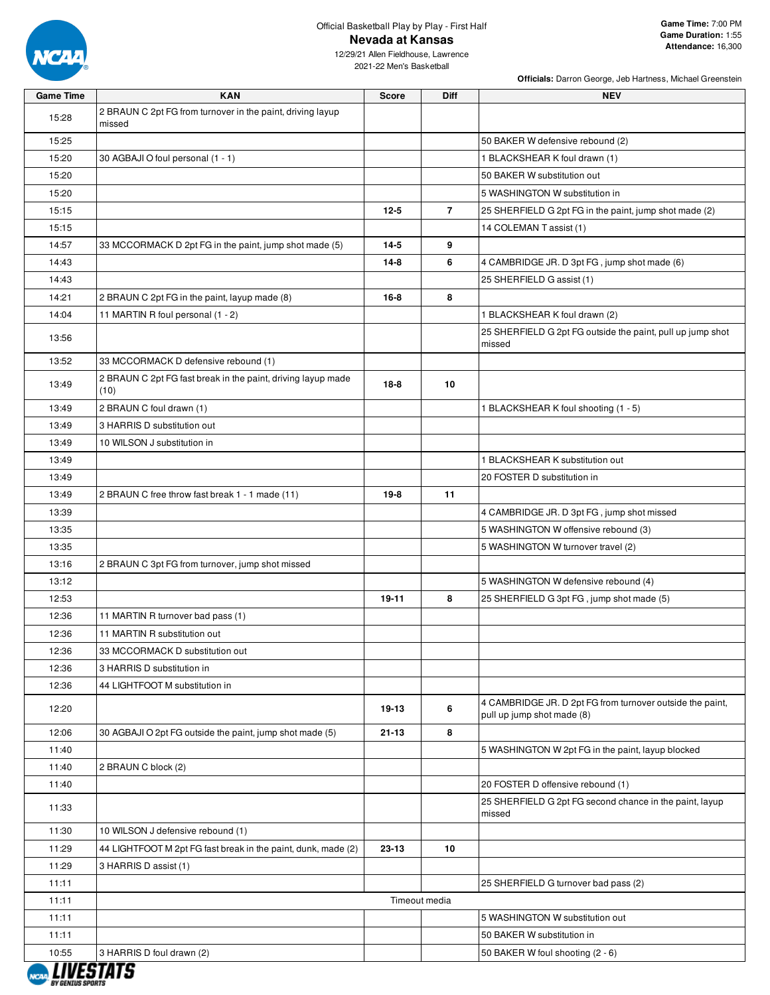

12/29/21 Allen Fieldhouse, Lawrence 2021-22 Men's Basketball

| <b>Game Time</b> | <b>KAN</b>                                                           | <b>Score</b>  | Diff | <b>NEV</b>                                                                              |
|------------------|----------------------------------------------------------------------|---------------|------|-----------------------------------------------------------------------------------------|
| 15:28            | 2 BRAUN C 2pt FG from turnover in the paint, driving layup<br>missed |               |      |                                                                                         |
| 15:25            |                                                                      |               |      | 50 BAKER W defensive rebound (2)                                                        |
| 15:20            | 30 AGBAJI O foul personal (1 - 1)                                    |               |      | 1 BLACKSHEAR K foul drawn (1)                                                           |
| 15:20            |                                                                      |               |      | 50 BAKER W substitution out                                                             |
| 15:20            |                                                                      |               |      | 5 WASHINGTON W substitution in                                                          |
| 15:15            |                                                                      | $12 - 5$      | 7    | 25 SHERFIELD G 2pt FG in the paint, jump shot made (2)                                  |
| 15:15            |                                                                      |               |      | 14 COLEMAN T assist (1)                                                                 |
| 14:57            | 33 MCCORMACK D 2pt FG in the paint, jump shot made (5)               | $14 - 5$      | 9    |                                                                                         |
| 14:43            |                                                                      | $14 - 8$      | 6    | 4 CAMBRIDGE JR. D 3pt FG, jump shot made (6)                                            |
| 14:43            |                                                                      |               |      | 25 SHERFIELD G assist (1)                                                               |
| 14:21            | 2 BRAUN C 2pt FG in the paint, layup made (8)                        | $16 - 8$      | 8    |                                                                                         |
| 14:04            | 11 MARTIN R foul personal (1 - 2)                                    |               |      | 1 BLACKSHEAR K foul drawn (2)                                                           |
| 13:56            |                                                                      |               |      | 25 SHERFIELD G 2pt FG outside the paint, pull up jump shot<br>missed                    |
| 13:52            | 33 MCCORMACK D defensive rebound (1)                                 |               |      |                                                                                         |
| 13:49            | 2 BRAUN C 2pt FG fast break in the paint, driving layup made<br>(10) | $18 - 8$      | 10   |                                                                                         |
| 13:49            | 2 BRAUN C foul drawn (1)                                             |               |      | 1 BLACKSHEAR K foul shooting (1 - 5)                                                    |
| 13:49            | 3 HARRIS D substitution out                                          |               |      |                                                                                         |
| 13:49            | 10 WILSON J substitution in                                          |               |      |                                                                                         |
| 13:49            |                                                                      |               |      | 1 BLACKSHEAR K substitution out                                                         |
| 13:49            |                                                                      |               |      | 20 FOSTER D substitution in                                                             |
| 13:49            | 2 BRAUN C free throw fast break 1 - 1 made (11)                      | $19-8$        | 11   |                                                                                         |
| 13:39            |                                                                      |               |      | 4 CAMBRIDGE JR. D 3pt FG, jump shot missed                                              |
| 13:35            |                                                                      |               |      | 5 WASHINGTON W offensive rebound (3)                                                    |
| 13:35            |                                                                      |               |      | 5 WASHINGTON W turnover travel (2)                                                      |
| 13:16            | 2 BRAUN C 3pt FG from turnover, jump shot missed                     |               |      |                                                                                         |
| 13:12            |                                                                      |               |      | 5 WASHINGTON W defensive rebound (4)                                                    |
| 12:53            |                                                                      | 19-11         | 8    | 25 SHERFIELD G 3pt FG, jump shot made (5)                                               |
| 12:36            | 11 MARTIN R turnover bad pass (1)                                    |               |      |                                                                                         |
| 12:36            | 11 MARTIN R substitution out                                         |               |      |                                                                                         |
| 12:36            | 33 MCCORMACK D substitution out                                      |               |      |                                                                                         |
| 12:36            | 3 HARRIS D substitution in                                           |               |      |                                                                                         |
| 12:36            | 44 LIGHTFOOT M substitution in                                       |               |      |                                                                                         |
| 12:20            |                                                                      | 19-13         | 6    | 4 CAMBRIDGE JR. D 2pt FG from turnover outside the paint,<br>pull up jump shot made (8) |
| 12:06            | 30 AGBAJI O 2pt FG outside the paint, jump shot made (5)             | $21 - 13$     | 8    |                                                                                         |
| 11:40            |                                                                      |               |      | 5 WASHINGTON W 2pt FG in the paint, layup blocked                                       |
| 11:40            | 2 BRAUN C block (2)                                                  |               |      |                                                                                         |
| 11:40            |                                                                      |               |      | 20 FOSTER D offensive rebound (1)                                                       |
| 11:33            |                                                                      |               |      | 25 SHERFIELD G 2pt FG second chance in the paint, layup<br>missed                       |
| 11:30            | 10 WILSON J defensive rebound (1)                                    |               |      |                                                                                         |
| 11:29            | 44 LIGHTFOOT M 2pt FG fast break in the paint, dunk, made (2)        | 23-13         | 10   |                                                                                         |
| 11:29            | 3 HARRIS D assist (1)                                                |               |      |                                                                                         |
| 11:11            |                                                                      |               |      | 25 SHERFIELD G turnover bad pass (2)                                                    |
| 11:11            |                                                                      | Timeout media |      |                                                                                         |
| 11:11            |                                                                      |               |      | 5 WASHINGTON W substitution out                                                         |
| 11:11            |                                                                      |               |      | 50 BAKER W substitution in                                                              |
| 10:55            | 3 HARRIS D foul drawn (2)                                            |               |      | 50 BAKER W foul shooting (2 - 6)                                                        |

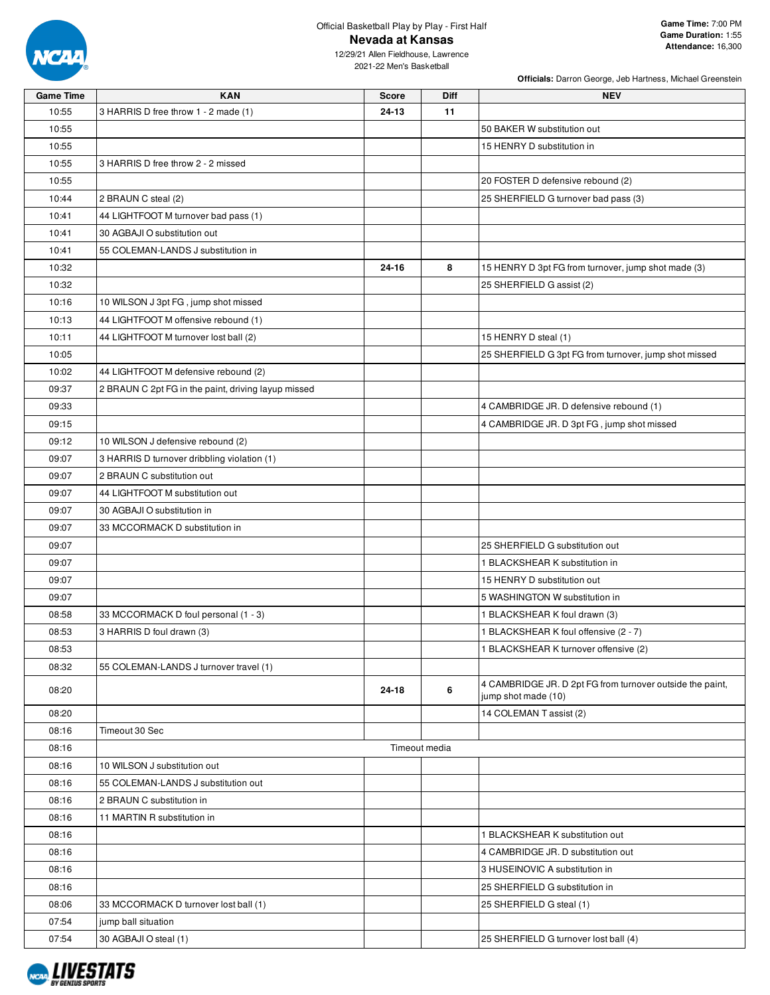

**Officials:** Darron George, Jeb Hartness, Michael Greenstein

| <b>Game Time</b> | <b>KAN</b>                                          | <b>Score</b> | Diff          | <b>NEV</b>                                                                       |
|------------------|-----------------------------------------------------|--------------|---------------|----------------------------------------------------------------------------------|
| 10:55            | 3 HARRIS D free throw 1 - 2 made (1)                | 24-13        | 11            |                                                                                  |
| 10:55            |                                                     |              |               | 50 BAKER W substitution out                                                      |
| 10:55            |                                                     |              |               | 15 HENRY D substitution in                                                       |
| 10:55            | 3 HARRIS D free throw 2 - 2 missed                  |              |               |                                                                                  |
| 10:55            |                                                     |              |               | 20 FOSTER D defensive rebound (2)                                                |
| 10:44            | 2 BRAUN C steal (2)                                 |              |               | 25 SHERFIELD G turnover bad pass (3)                                             |
| 10:41            | 44 LIGHTFOOT M turnover bad pass (1)                |              |               |                                                                                  |
| 10:41            | 30 AGBAJI O substitution out                        |              |               |                                                                                  |
| 10:41            | 55 COLEMAN-LANDS J substitution in                  |              |               |                                                                                  |
| 10:32            |                                                     | 24-16        | 8             | 15 HENRY D 3pt FG from turnover, jump shot made (3)                              |
| 10:32            |                                                     |              |               | 25 SHERFIELD G assist (2)                                                        |
| 10:16            | 10 WILSON J 3pt FG, jump shot missed                |              |               |                                                                                  |
| 10:13            | 44 LIGHTFOOT M offensive rebound (1)                |              |               |                                                                                  |
| 10:11            | 44 LIGHTFOOT M turnover lost ball (2)               |              |               | 15 HENRY D steal (1)                                                             |
| 10:05            |                                                     |              |               | 25 SHERFIELD G 3pt FG from turnover, jump shot missed                            |
| 10:02            | 44 LIGHTFOOT M defensive rebound (2)                |              |               |                                                                                  |
| 09:37            | 2 BRAUN C 2pt FG in the paint, driving layup missed |              |               |                                                                                  |
| 09:33            |                                                     |              |               | 4 CAMBRIDGE JR. D defensive rebound (1)                                          |
| 09:15            |                                                     |              |               | 4 CAMBRIDGE JR. D 3pt FG, jump shot missed                                       |
| 09:12            | 10 WILSON J defensive rebound (2)                   |              |               |                                                                                  |
| 09:07            | 3 HARRIS D turnover dribbling violation (1)         |              |               |                                                                                  |
| 09:07            | 2 BRAUN C substitution out                          |              |               |                                                                                  |
| 09:07            | 44 LIGHTFOOT M substitution out                     |              |               |                                                                                  |
| 09:07            | 30 AGBAJI O substitution in                         |              |               |                                                                                  |
| 09:07            | 33 MCCORMACK D substitution in                      |              |               |                                                                                  |
| 09:07            |                                                     |              |               | 25 SHERFIELD G substitution out                                                  |
| 09:07            |                                                     |              |               | 1 BLACKSHEAR K substitution in                                                   |
| 09:07            |                                                     |              |               | 15 HENRY D substitution out                                                      |
| 09:07            |                                                     |              |               | 5 WASHINGTON W substitution in                                                   |
| 08:58            | 33 MCCORMACK D foul personal (1 - 3)                |              |               | 1 BLACKSHEAR K foul drawn (3)                                                    |
| 08:53            | 3 HARRIS D foul drawn (3)                           |              |               | 1 BLACKSHEAR K foul offensive (2 - 7)                                            |
| 08:53            |                                                     |              |               | 1 BLACKSHEAR K turnover offensive (2)                                            |
| 08:32            | 55 COLEMAN-LANDS J turnover travel (1)              |              |               |                                                                                  |
| 08:20            |                                                     | 24-18        | 6             | 4 CAMBRIDGE JR. D 2pt FG from turnover outside the paint,<br>jump shot made (10) |
| 08:20            |                                                     |              |               | 14 COLEMAN T assist (2)                                                          |
| 08:16            | Timeout 30 Sec                                      |              |               |                                                                                  |
| 08:16            |                                                     |              | Timeout media |                                                                                  |
| 08:16            | 10 WILSON J substitution out                        |              |               |                                                                                  |
| 08:16            | 55 COLEMAN-LANDS J substitution out                 |              |               |                                                                                  |
| 08:16            | 2 BRAUN C substitution in                           |              |               |                                                                                  |
| 08:16            | 11 MARTIN R substitution in                         |              |               |                                                                                  |
| 08:16            |                                                     |              |               | 1 BLACKSHEAR K substitution out                                                  |
| 08:16            |                                                     |              |               | 4 CAMBRIDGE JR. D substitution out                                               |
| 08:16            |                                                     |              |               | 3 HUSEINOVIC A substitution in                                                   |
| 08:16            |                                                     |              |               | 25 SHERFIELD G substitution in                                                   |
| 08:06            | 33 MCCORMACK D turnover lost ball (1)               |              |               | 25 SHERFIELD G steal (1)                                                         |
| 07:54            | jump ball situation                                 |              |               |                                                                                  |
| 07:54            | 30 AGBAJI O steal (1)                               |              |               | 25 SHERFIELD G turnover lost ball (4)                                            |
|                  |                                                     |              |               |                                                                                  |

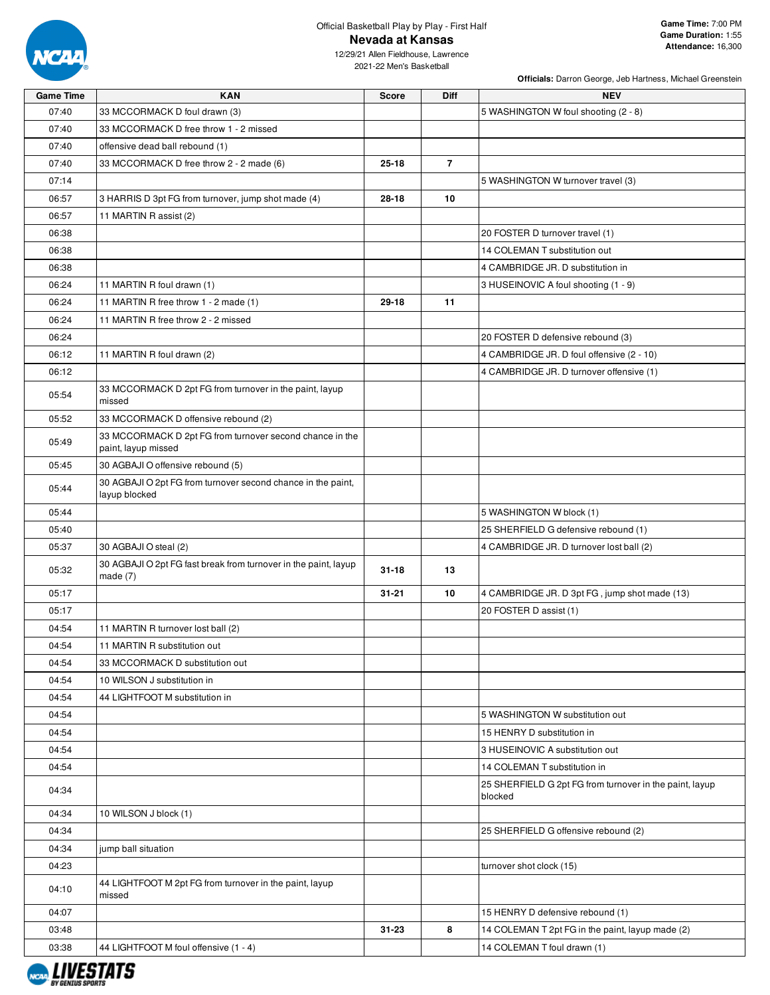

**Officials:** Darron George, Jeb Hartness, Michael Greenstein

| <b>Game Time</b> | <b>KAN</b>                                                                    | <b>Score</b> | Diff           | <b>NEV</b>                                                         |
|------------------|-------------------------------------------------------------------------------|--------------|----------------|--------------------------------------------------------------------|
| 07:40            | 33 MCCORMACK D foul drawn (3)                                                 |              |                | 5 WASHINGTON W foul shooting (2 - 8)                               |
| 07:40            | 33 MCCORMACK D free throw 1 - 2 missed                                        |              |                |                                                                    |
| 07:40            | offensive dead ball rebound (1)                                               |              |                |                                                                    |
| 07:40            | 33 MCCORMACK D free throw 2 - 2 made (6)                                      | $25 - 18$    | $\overline{7}$ |                                                                    |
| 07:14            |                                                                               |              |                | 5 WASHINGTON W turnover travel (3)                                 |
| 06:57            | 3 HARRIS D 3pt FG from turnover, jump shot made (4)                           | 28-18        | 10             |                                                                    |
| 06:57            | 11 MARTIN R assist (2)                                                        |              |                |                                                                    |
| 06:38            |                                                                               |              |                | 20 FOSTER D turnover travel (1)                                    |
| 06:38            |                                                                               |              |                | 14 COLEMAN T substitution out                                      |
| 06:38            |                                                                               |              |                | 4 CAMBRIDGE JR. D substitution in                                  |
| 06:24            | 11 MARTIN R foul drawn (1)                                                    |              |                | 3 HUSEINOVIC A foul shooting (1 - 9)                               |
| 06:24            | 11 MARTIN R free throw 1 - 2 made (1)                                         | $29 - 18$    | 11             |                                                                    |
| 06:24            | 11 MARTIN R free throw 2 - 2 missed                                           |              |                |                                                                    |
| 06:24            |                                                                               |              |                | 20 FOSTER D defensive rebound (3)                                  |
| 06:12            | 11 MARTIN R foul drawn (2)                                                    |              |                | 4 CAMBRIDGE JR. D foul offensive (2 - 10)                          |
| 06:12            |                                                                               |              |                | 4 CAMBRIDGE JR. D turnover offensive (1)                           |
| 05:54            | 33 MCCORMACK D 2pt FG from turnover in the paint, layup<br>missed             |              |                |                                                                    |
| 05:52            | 33 MCCORMACK D offensive rebound (2)                                          |              |                |                                                                    |
|                  | 33 MCCORMACK D 2pt FG from turnover second chance in the                      |              |                |                                                                    |
| 05:49            | paint, layup missed                                                           |              |                |                                                                    |
| 05:45            | 30 AGBAJI O offensive rebound (5)                                             |              |                |                                                                    |
| 05:44            | 30 AGBAJI O 2pt FG from turnover second chance in the paint,<br>layup blocked |              |                |                                                                    |
| 05:44            |                                                                               |              |                | 5 WASHINGTON W block (1)                                           |
| 05:40            |                                                                               |              |                | 25 SHERFIELD G defensive rebound (1)                               |
| 05:37            | 30 AGBAJI O steal (2)                                                         |              |                | 4 CAMBRIDGE JR. D turnover lost ball (2)                           |
| 05:32            | 30 AGBAJI O 2pt FG fast break from turnover in the paint, layup<br>made $(7)$ | $31 - 18$    | 13             |                                                                    |
| 05:17            |                                                                               | $31 - 21$    | 10             | 4 CAMBRIDGE JR. D 3pt FG, jump shot made (13)                      |
| 05:17            |                                                                               |              |                | 20 FOSTER D assist (1)                                             |
| 04:54            | 11 MARTIN R turnover lost ball (2)                                            |              |                |                                                                    |
| 04:54            | 11 MARTIN R substitution out                                                  |              |                |                                                                    |
| 04:54            | 33 MCCORMACK D substitution out                                               |              |                |                                                                    |
| 04:54            | 10 WILSON J substitution in                                                   |              |                |                                                                    |
| 04:54            | 44 LIGHTFOOT M substitution in                                                |              |                |                                                                    |
| 04:54            |                                                                               |              |                | 5 WASHINGTON W substitution out                                    |
| 04:54            |                                                                               |              |                | 15 HENRY D substitution in                                         |
| 04:54            |                                                                               |              |                | 3 HUSEINOVIC A substitution out                                    |
| 04:54            |                                                                               |              |                | 14 COLEMAN T substitution in                                       |
| 04:34            |                                                                               |              |                | 25 SHERFIELD G 2pt FG from turnover in the paint, layup<br>blocked |
| 04:34            | 10 WILSON J block (1)                                                         |              |                |                                                                    |
| 04:34            |                                                                               |              |                | 25 SHERFIELD G offensive rebound (2)                               |
| 04:34            | jump ball situation                                                           |              |                |                                                                    |
| 04:23            |                                                                               |              |                | turnover shot clock (15)                                           |
| 04:10            | 44 LIGHTFOOT M 2pt FG from turnover in the paint, layup<br>missed             |              |                |                                                                    |
| 04:07            |                                                                               |              |                | 15 HENRY D defensive rebound (1)                                   |
| 03:48            |                                                                               | $31 - 23$    | 8              | 14 COLEMAN T 2pt FG in the paint, layup made (2)                   |
| 03:38            | 44 LIGHTFOOT M foul offensive (1 - 4)                                         |              |                | 14 COLEMAN T foul drawn (1)                                        |

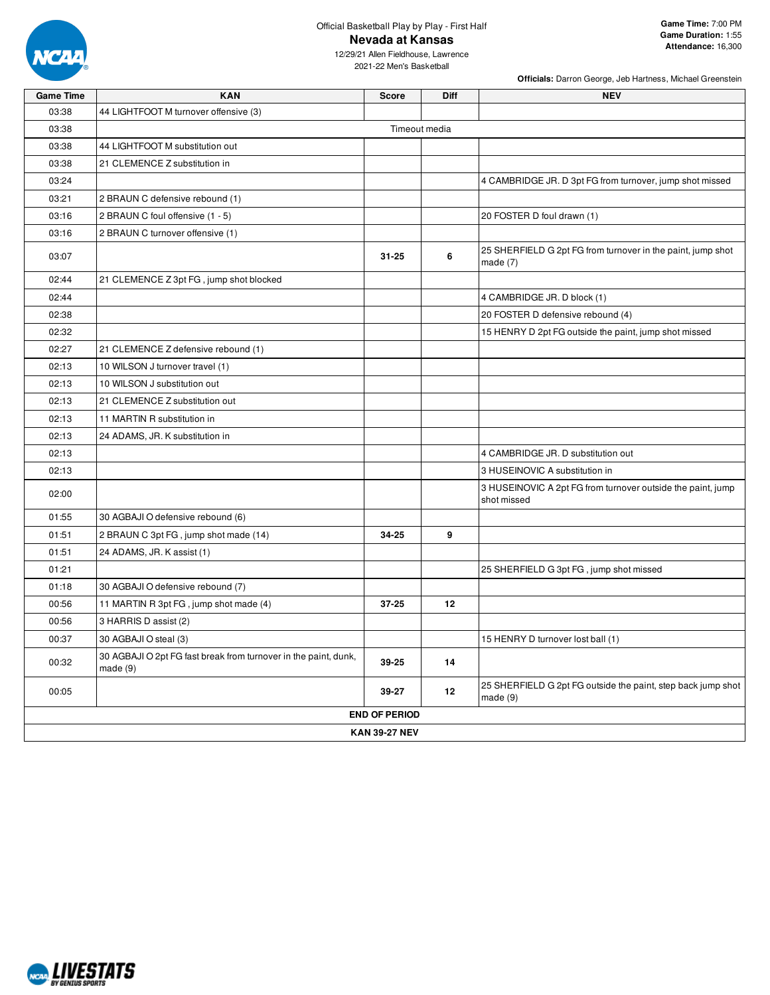

12/29/21 Allen Fieldhouse, Lawrence 2021-22 Men's Basketball

| <b>Game Time</b> | <b>KAN</b>                                                                 | <b>Score</b>         | <b>Diff</b>   | <b>NEV</b>                                                                 |
|------------------|----------------------------------------------------------------------------|----------------------|---------------|----------------------------------------------------------------------------|
| 03:38            | 44 LIGHTFOOT M turnover offensive (3)                                      |                      |               |                                                                            |
| 03:38            |                                                                            |                      | Timeout media |                                                                            |
| 03:38            | 44 LIGHTFOOT M substitution out                                            |                      |               |                                                                            |
| 03:38            | 21 CLEMENCE Z substitution in                                              |                      |               |                                                                            |
| 03:24            |                                                                            |                      |               | 4 CAMBRIDGE JR. D 3pt FG from turnover, jump shot missed                   |
| 03:21            | 2 BRAUN C defensive rebound (1)                                            |                      |               |                                                                            |
| 03:16            | 2 BRAUN C foul offensive (1 - 5)                                           |                      |               | 20 FOSTER D foul drawn (1)                                                 |
| 03:16            | 2 BRAUN C turnover offensive (1)                                           |                      |               |                                                                            |
| 03:07            |                                                                            | $31 - 25$            | 6             | 25 SHERFIELD G 2pt FG from turnover in the paint, jump shot<br>made $(7)$  |
| 02:44            | 21 CLEMENCE Z 3pt FG, jump shot blocked                                    |                      |               |                                                                            |
| 02:44            |                                                                            |                      |               | 4 CAMBRIDGE JR. D block (1)                                                |
| 02:38            |                                                                            |                      |               | 20 FOSTER D defensive rebound (4)                                          |
| 02:32            |                                                                            |                      |               | 15 HENRY D 2pt FG outside the paint, jump shot missed                      |
| 02:27            | 21 CLEMENCE Z defensive rebound (1)                                        |                      |               |                                                                            |
| 02:13            | 10 WILSON J turnover travel (1)                                            |                      |               |                                                                            |
| 02:13            | 10 WILSON J substitution out                                               |                      |               |                                                                            |
| 02:13            | 21 CLEMENCE Z substitution out                                             |                      |               |                                                                            |
| 02:13            | 11 MARTIN R substitution in                                                |                      |               |                                                                            |
| 02:13            | 24 ADAMS, JR. K substitution in                                            |                      |               |                                                                            |
| 02:13            |                                                                            |                      |               | 4 CAMBRIDGE JR. D substitution out                                         |
| 02:13            |                                                                            |                      |               | 3 HUSEINOVIC A substitution in                                             |
| 02:00            |                                                                            |                      |               | 3 HUSEINOVIC A 2pt FG from turnover outside the paint, jump<br>shot missed |
| 01:55            | 30 AGBAJI O defensive rebound (6)                                          |                      |               |                                                                            |
| 01:51            | 2 BRAUN C 3pt FG, jump shot made (14)                                      | 34-25                | 9             |                                                                            |
| 01:51            | 24 ADAMS, JR. K assist (1)                                                 |                      |               |                                                                            |
| 01:21            |                                                                            |                      |               | 25 SHERFIELD G 3pt FG, jump shot missed                                    |
| 01:18            | 30 AGBAJI O defensive rebound (7)                                          |                      |               |                                                                            |
| 00:56            | 11 MARTIN R 3pt FG, jump shot made (4)                                     | 37-25                | 12            |                                                                            |
| 00:56            | 3 HARRIS D assist (2)                                                      |                      |               |                                                                            |
| 00:37            | 30 AGBAJI O steal (3)                                                      |                      |               | 15 HENRY D turnover lost ball (1)                                          |
| 00:32            | 30 AGBAJI O 2pt FG fast break from turnover in the paint, dunk,<br>made(9) | 39-25                | 14            |                                                                            |
| 00:05            |                                                                            | 39-27                | 12            | 25 SHERFIELD G 2pt FG outside the paint, step back jump shot<br>made $(9)$ |
|                  |                                                                            | <b>END OF PERIOD</b> |               |                                                                            |
|                  |                                                                            | <b>KAN 39-27 NEV</b> |               |                                                                            |

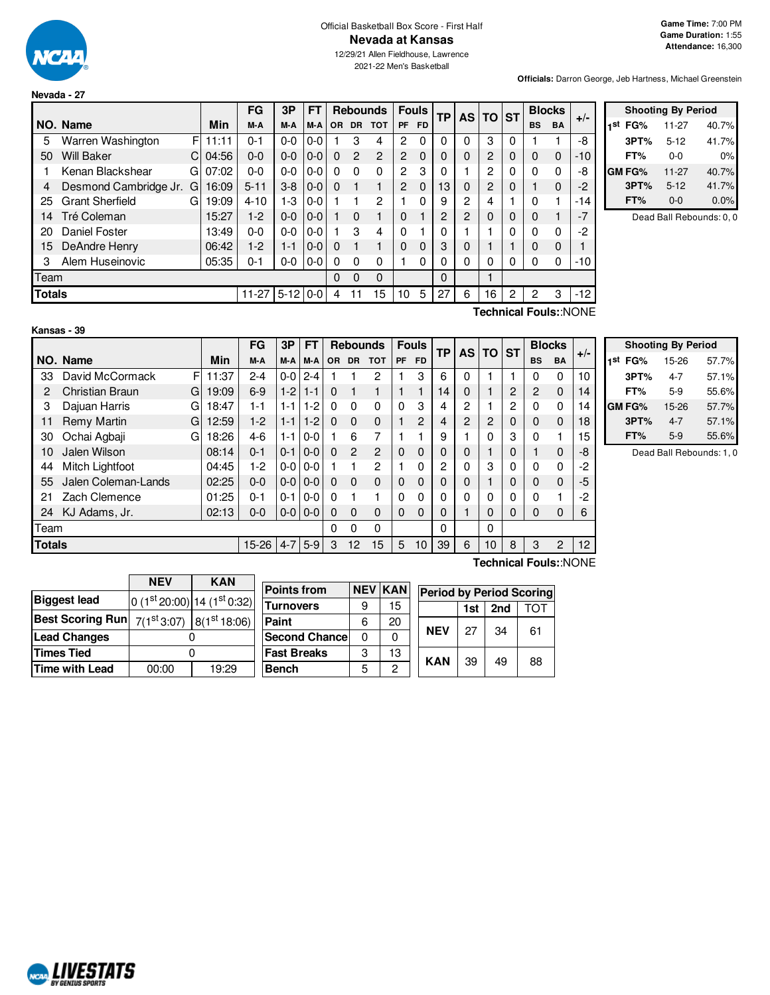

**Nevada - 27**

# Official Basketball Box Score - First Half **Nevada at Kansas**

12/29/21 Allen Fieldhouse, Lawrence 2021-22 Men's Basketball

**Officials:** Darron George, Jeb Hartness, Michael Greenstein

|               |                        |    |       | FG        | 3P         | <b>FT</b> |           |           | <b>Rebounds</b> | <b>Fouls</b><br>ТP |           |          | <b>AS</b>      | <b>TO</b>      | <b>ST</b> | <b>Blocks</b> |           | $+/-$  |
|---------------|------------------------|----|-------|-----------|------------|-----------|-----------|-----------|-----------------|--------------------|-----------|----------|----------------|----------------|-----------|---------------|-----------|--------|
|               | NO. Name               |    | Min   | M-A       | M-A        | M-A       | <b>OR</b> | <b>DR</b> | <b>TOT</b>      | <b>PF</b>          | <b>FD</b> |          |                |                |           | <b>BS</b>     | <b>BA</b> |        |
| 5             | Warren Washington      | F  | 11:11 | $0 - 1$   | $0 - 0$    | $0 - 0$   |           | 3         | 4               | 2                  | 0         | 0        | 0              | 3              | 0         |               |           | -8     |
| 50            | <b>Will Baker</b>      | C. | 04:56 | $0 - 0$   | $0 - 0$    | $0 - 0$   | 0         | 2         | $\overline{2}$  | 2                  | $\Omega$  | $\Omega$ | 0              | $\overline{2}$ | 0         | $\Omega$      | $\Omega$  | $-10$  |
|               | Kenan Blackshear       | G  | 07:02 | $0 - 0$   | $0 - 0$    | $0 - 0$   | 0         | $\Omega$  | 0               | $\overline{c}$     | 3         | 0        |                | 2              | 0         | $\Omega$      | $\Omega$  | -8     |
| 4             | Desmond Cambridge Jr.  | G  | 16:09 | $5 - 11$  | $3 - 8$    | $0-0$     | $\Omega$  |           |                 | $\overline{2}$     | $\Omega$  | 13       | 0              | $\overline{c}$ | 0         |               | $\Omega$  | $-2$   |
| 25            | <b>Grant Sherfield</b> | G  | 19:09 | $4 - 10$  | $1-3$      | $0 - 0$   |           |           | 2               |                    | 0         | 9        | 2              | 4              |           | $\Omega$      |           | $-14$  |
| 14            | Tré Coleman            |    | 15:27 | $1-2$     | $0 - 0$    | $0-0$     |           | $\Omega$  |                 | $\Omega$           |           | 2        | $\overline{2}$ | 0              | 0         | $\Omega$      |           | $-7$   |
| 20            | <b>Daniel Foster</b>   |    | 13:49 | $0 - 0$   | $0 - 0$    | $0 - 0$   |           | 3         | 4               | $\Omega$           |           | 0        |                |                | 0         | $\Omega$      | $\Omega$  | $-2$   |
| 15            | DeAndre Henry          |    | 06:42 | $1-2$     | 1-1        | $0 - 0$   | 0         |           |                 | $\Omega$           | 0         | 3        | 0              |                |           | 0             | 0         |        |
| 3             | Alem Huseinovic        |    | 05:35 | $0 - 1$   | $0 - 0$    | $0-0$     | $\Omega$  | $\Omega$  | 0               |                    | 0         | 0        | 0              | 0              | 0         | 0             | $\Omega$  | -10    |
| Team          |                        |    |       |           |            |           | 0         | 0         | 0               |                    |           | 0        |                |                |           |               |           |        |
| <b>Totals</b> |                        |    |       | $11 - 27$ | $5-12$ 0-0 |           | 4         | 11        | 15              | 10                 | 5         | 27       | 6              | 16             | 2         | 2             | 3         | $-12$  |
|               |                        |    |       |           |            |           |           |           |                 |                    |           |          |                |                |           |               |           | $\sim$ |

|     | <b>Shooting By Period</b> |          |       |  |  |  |  |  |
|-----|---------------------------|----------|-------|--|--|--|--|--|
| 1st | FG%                       | 11-27    | 40.7% |  |  |  |  |  |
|     | 3PT%                      | $5 - 12$ | 41.7% |  |  |  |  |  |
|     | FT%                       | $0 - 0$  | 0%    |  |  |  |  |  |
|     | <b>GM FG%</b>             | 11-27    | 40.7% |  |  |  |  |  |
|     | 3PT%                      | $5 - 12$ | 41.7% |  |  |  |  |  |
|     | FT%                       | $0 - 0$  | 0.0%  |  |  |  |  |  |

Dead Ball Rebounds: 0, 0

| Kansas - 39 |  |
|-------------|--|

**Technical Fouls:**:NONE

|                      |       | FG        | 3Р      | <b>FT</b> |                                               | <b>Rebounds</b> |               |           | <b>Fouls</b> | <b>TP</b> | <b>AS</b> | <b>TO</b> | <b>ST</b> | <b>Blocks</b>  |           | $+/-$ |
|----------------------|-------|-----------|---------|-----------|-----------------------------------------------|-----------------|---------------|-----------|--------------|-----------|-----------|-----------|-----------|----------------|-----------|-------|
| NO. Name             | Min   | M-A       | M-A     | M-A       | OR.                                           | <b>DR</b>       | <b>TOT</b>    | <b>PF</b> | <b>FD</b>    |           |           |           |           | <b>BS</b>      | <b>BA</b> |       |
| F<br>David McCormack | 11:37 | 2-4       | $0-0$   | $2 - 4$   |                                               |                 | 2             |           | 3            | 6         | 0         |           |           | 0              | 0         | 10    |
| Christian Braun<br>G | 19:09 | $6-9$     | $1-2$   | $1 - 1$   | $\Omega$                                      | 1               |               |           |              | 14        | 0         |           | 2         | $\overline{2}$ | $\Omega$  | 14    |
| Dajuan Harris<br>G   | 18:47 | $1 - 1$   | $1 - 1$ | $1 - 2$   | $\Omega$                                      | $\Omega$        | $\Omega$      | $\Omega$  | 3            | 4         | 2         |           | 2         | 0              | 0         | 14    |
| Remy Martin<br>G     | 12:59 | $1-2$     | $1 - 1$ | $1 - 2$   | $\Omega$                                      | $\Omega$        | $\Omega$      |           | 2            | 4         | 2         | 2         | 0         | 0              | $\Omega$  | 18    |
| Ochai Agbaji<br>G    | 18:26 | $4-6$     | $1 - 1$ | $0 - 0$   |                                               | 6               | 7             |           |              | 9         |           | 0         | 3         | 0              |           | 15    |
| Jalen Wilson         | 08:14 | $0 - 1$   | $0 - 1$ | $0 - 0$   | $\Omega$                                      | 2               | $\mathcal{P}$ | $\Omega$  | 0            | 0         | 0         |           | 0         |                | $\Omega$  | -8    |
| Mitch Lightfoot      | 04:45 | $1-2$     | $0-0$   |           |                                               |                 | 2             |           | 0            | 2         | 0         | 3         | 0         | 0              | 0         | -2    |
| Jalen Coleman-Lands  | 02:25 | $0 - 0$   |         |           | $\Omega$                                      | $\Omega$        | $\Omega$      | $\Omega$  | 0            | 0         | 0         |           | 0         | 0              | $\Omega$  | $-5$  |
| Zach Clemence        | 01:25 | $0 - 1$   | $0 - 1$ | $0 - 0$   | $\Omega$                                      |                 |               | $\Omega$  | 0            | 0         | 0         | 0         | 0         | 0              |           | $-2$  |
| KJ Adams, Jr.        | 02:13 | $0 - 0$   |         |           | $\Omega$                                      | $\Omega$        | $\Omega$      | $\Omega$  | 0            | 0         |           | $\Omega$  | 0         | 0              | $\Omega$  | 6     |
|                      |       |           |         |           | $\Omega$                                      | 0               | $\Omega$      |           |              | 0         |           | 0         |           |                |           |       |
|                      |       | $15 - 26$ | $4 - 7$ |           | 3                                             | 12              | 15            | 5         | 10           | 39        | 6         | 10        | 8         | 3              | 2         | 12    |
|                      |       |           |         | $0-0$     | $0 - 0$<br>$0 - 0$<br>$0-0$<br>$0-0$<br>$5-9$ |                 |               |           |              |           |           |           |           |                |           |       |

| <b>Shooting By Period</b> |         |       |  |  |  |  |  |
|---------------------------|---------|-------|--|--|--|--|--|
| 1st<br>FG%                | 15-26   | 57.7% |  |  |  |  |  |
| 3PT%                      | 4-7     | 57.1% |  |  |  |  |  |
| FT%                       | $5-9$   | 55.6% |  |  |  |  |  |
| GM FG%                    | 15-26   | 57.7% |  |  |  |  |  |
| 3PT%                      | $4 - 7$ | 57.1% |  |  |  |  |  |
| FT%                       | $5-9$   | 55.6% |  |  |  |  |  |

Dead Ball Rebounds: 1, 0

|                                                                          | <b>NEV</b> | <b>KAN</b>                 | <b>Points from</b> |   | <b>NEV KAN</b> |                                 |     |     |     |
|--------------------------------------------------------------------------|------------|----------------------------|--------------------|---|----------------|---------------------------------|-----|-----|-----|
| <b>Biggest lead</b>                                                      |            | $0(1st20:00) 14(1st0:32) $ |                    |   |                | <b>Period by Period Scoring</b> |     |     |     |
|                                                                          |            |                            | <b>Turnovers</b>   | 9 | 15             |                                 | 1st | 2nd | ГOТ |
| Best Scoring Run $\mid$ $7(1^{\rm st}3.07)\mid$ $8(1^{\rm st}18.06)\mid$ |            |                            | Paint              | 6 | 20             |                                 |     |     |     |
| <b>Lead Changes</b>                                                      |            |                            | Second Chance      | 0 | 0              | <b>NEV</b>                      | 27  | 34  | 61  |
| Times Tied                                                               |            |                            | <b>Fast Breaks</b> | 3 | 13             | <b>KAN</b>                      | 39  | 49  | 88  |
| Time with Lead                                                           | 00:00      | 19:29                      | <b>Bench</b>       | 5 | っ              |                                 |     |     |     |

**Technical Fouls:**:NONE

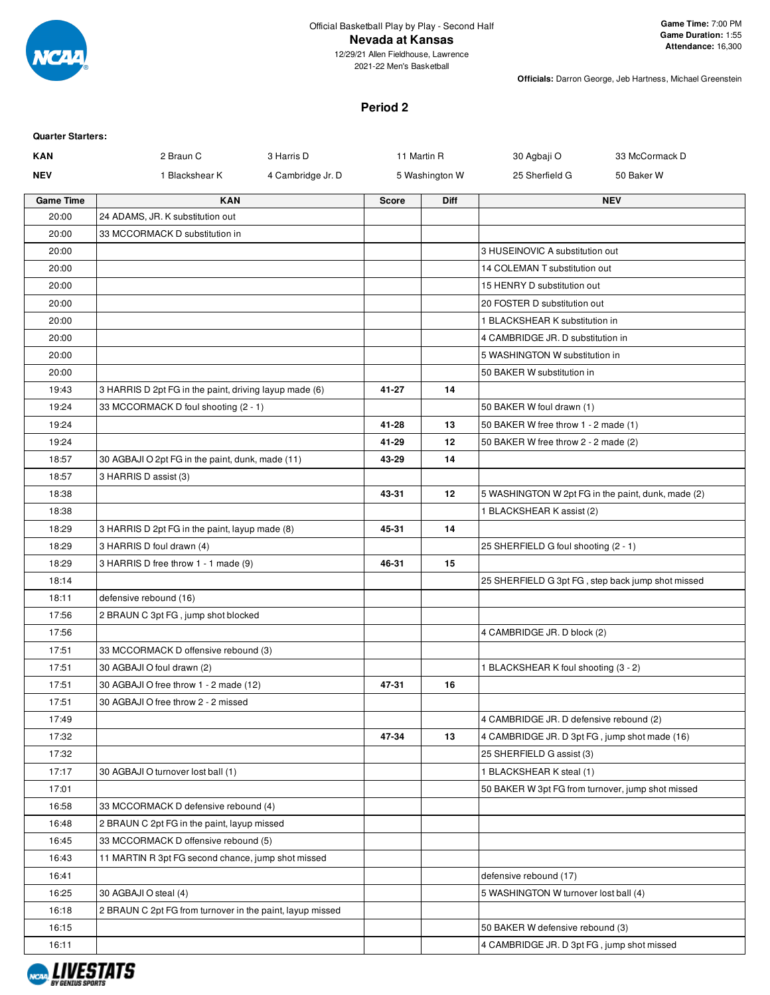

12/29/21 Allen Fieldhouse, Lawrence 2021-22 Men's Basketball

**Officials:** Darron George, Jeb Hartness, Michael Greenstein

## **Period 2**

| Quarter Starters: |
|-------------------|
|                   |

| KAN              | 2 Braun C                                                 | 3 Harris D        | 11 Martin R    |      | 30 Agbaji O                                        | 33 McCormack D |
|------------------|-----------------------------------------------------------|-------------------|----------------|------|----------------------------------------------------|----------------|
| NEV              | 1 Blackshear K                                            | 4 Cambridge Jr. D | 5 Washington W |      | 25 Sherfield G                                     | 50 Baker W     |
| <b>Game Time</b> | <b>KAN</b>                                                |                   | <b>Score</b>   | Diff |                                                    | <b>NEV</b>     |
| 20:00            | 24 ADAMS, JR. K substitution out                          |                   |                |      |                                                    |                |
| 20:00            | 33 MCCORMACK D substitution in                            |                   |                |      |                                                    |                |
| 20:00            |                                                           |                   |                |      | 3 HUSEINOVIC A substitution out                    |                |
| 20:00            |                                                           |                   |                |      | 14 COLEMAN T substitution out                      |                |
| 20:00            |                                                           |                   |                |      | 15 HENRY D substitution out                        |                |
| 20:00            |                                                           |                   |                |      | 20 FOSTER D substitution out                       |                |
| 20:00            |                                                           |                   |                |      | 1 BLACKSHEAR K substitution in                     |                |
| 20:00            |                                                           |                   |                |      | 4 CAMBRIDGE JR. D substitution in                  |                |
| 20:00            |                                                           |                   |                |      | 5 WASHINGTON W substitution in                     |                |
| 20:00            |                                                           |                   |                |      | 50 BAKER W substitution in                         |                |
| 19:43            | 3 HARRIS D 2pt FG in the paint, driving layup made (6)    |                   | 41-27          | 14   |                                                    |                |
| 19:24            | 33 MCCORMACK D foul shooting (2 - 1)                      |                   |                |      | 50 BAKER W foul drawn (1)                          |                |
| 19:24            |                                                           |                   | 41-28          | 13   | 50 BAKER W free throw 1 - 2 made (1)               |                |
| 19:24            |                                                           |                   | 41-29          | 12   | 50 BAKER W free throw 2 - 2 made (2)               |                |
| 18:57            | 30 AGBAJI O 2pt FG in the paint, dunk, made (11)          |                   | 43-29          | 14   |                                                    |                |
| 18:57            | 3 HARRIS D assist (3)                                     |                   |                |      |                                                    |                |
| 18:38            |                                                           |                   | 43-31          | 12   | 5 WASHINGTON W 2pt FG in the paint, dunk, made (2) |                |
| 18:38            |                                                           |                   |                |      | 1 BLACKSHEAR K assist (2)                          |                |
| 18:29            | 3 HARRIS D 2pt FG in the paint, layup made (8)            |                   | 45-31          | 14   |                                                    |                |
| 18:29            | 3 HARRIS D foul drawn (4)                                 |                   |                |      | 25 SHERFIELD G foul shooting (2 - 1)               |                |
| 18:29            | 3 HARRIS D free throw 1 - 1 made (9)                      |                   | 46-31          | 15   |                                                    |                |
| 18:14            |                                                           |                   |                |      | 25 SHERFIELD G 3pt FG, step back jump shot missed  |                |
| 18:11            | defensive rebound (16)                                    |                   |                |      |                                                    |                |
| 17:56            | 2 BRAUN C 3pt FG, jump shot blocked                       |                   |                |      |                                                    |                |
| 17:56            |                                                           |                   |                |      | 4 CAMBRIDGE JR. D block (2)                        |                |
| 17:51            | 33 MCCORMACK D offensive rebound (3)                      |                   |                |      |                                                    |                |
| 17:51            | 30 AGBAJI O foul drawn (2)                                |                   |                |      | 1 BLACKSHEAR K foul shooting (3 - 2)               |                |
| 17:51            | 30 AGBAJI O free throw 1 - 2 made (12)                    |                   | 47-31          | 16   |                                                    |                |
| 17:51            | 30 AGBAJI O free throw 2 - 2 missed                       |                   |                |      |                                                    |                |
| 17:49            |                                                           |                   |                |      | 4 CAMBRIDGE JR. D defensive rebound (2)            |                |
| 17:32            |                                                           |                   | 47-34          | 13   | 4 CAMBRIDGE JR. D 3pt FG, jump shot made (16)      |                |
| 17:32            |                                                           |                   |                |      | 25 SHERFIELD G assist (3)                          |                |
| 17:17            | 30 AGBAJI O turnover lost ball (1)                        |                   |                |      | 1 BLACKSHEAR K steal (1)                           |                |
| 17:01            |                                                           |                   |                |      | 50 BAKER W 3pt FG from turnover, jump shot missed  |                |
| 16:58            | 33 MCCORMACK D defensive rebound (4)                      |                   |                |      |                                                    |                |
| 16:48            | 2 BRAUN C 2pt FG in the paint, layup missed               |                   |                |      |                                                    |                |
| 16:45            | 33 MCCORMACK D offensive rebound (5)                      |                   |                |      |                                                    |                |
| 16:43            | 11 MARTIN R 3pt FG second chance, jump shot missed        |                   |                |      |                                                    |                |
| 16:41            |                                                           |                   |                |      | defensive rebound (17)                             |                |
| 16:25            | 30 AGBAJI O steal (4)                                     |                   |                |      | 5 WASHINGTON W turnover lost ball (4)              |                |
| 16:18            | 2 BRAUN C 2pt FG from turnover in the paint, layup missed |                   |                |      |                                                    |                |
| 16:15            |                                                           |                   |                |      | 50 BAKER W defensive rebound (3)                   |                |
| 16:11            |                                                           |                   |                |      | 4 CAMBRIDGE JR. D 3pt FG, jump shot missed         |                |

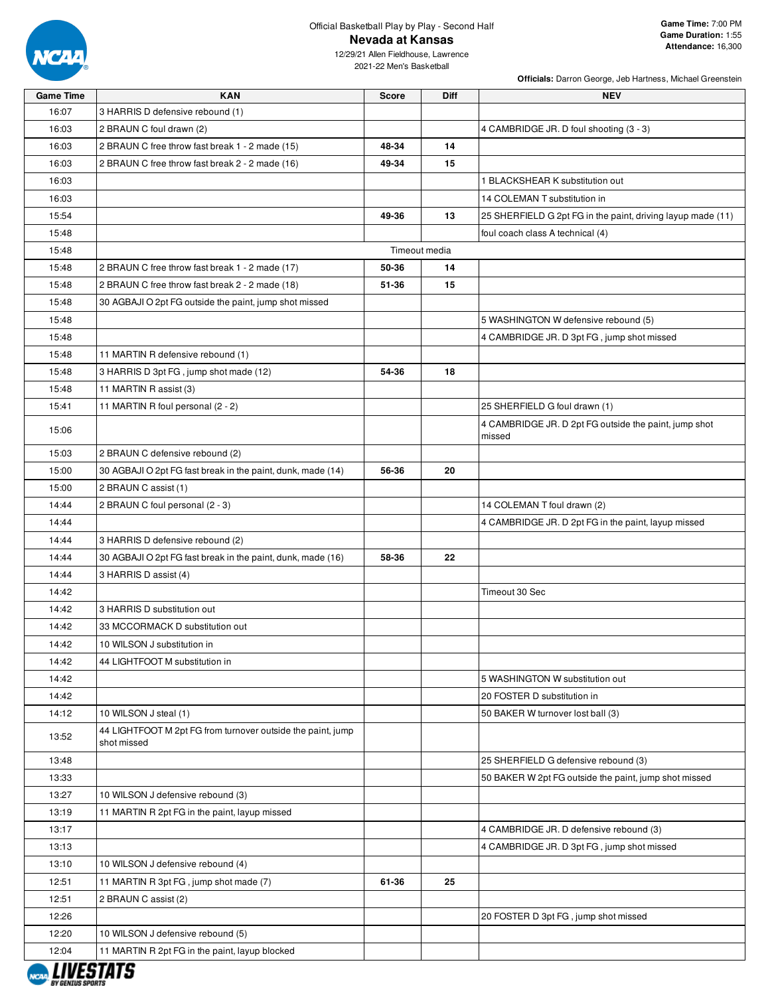

**Officials:** Darron George, Jeb Hartness, Michael Greenstein

2021-22 Men's Basketball

| <b>Game Time</b> | <b>KAN</b>                                                                 | <b>Score</b> | <b>Diff</b>   | <b>NEV</b>                                                  |
|------------------|----------------------------------------------------------------------------|--------------|---------------|-------------------------------------------------------------|
| 16:07            | 3 HARRIS D defensive rebound (1)                                           |              |               |                                                             |
| 16:03            | 2 BRAUN C foul drawn (2)                                                   |              |               | 4 CAMBRIDGE JR. D foul shooting (3 - 3)                     |
| 16:03            | 2 BRAUN C free throw fast break 1 - 2 made (15)                            | 48-34        | 14            |                                                             |
| 16:03            | 2 BRAUN C free throw fast break 2 - 2 made (16)                            | 49-34        | 15            |                                                             |
| 16:03            |                                                                            |              |               | 1 BLACKSHEAR K substitution out                             |
| 16:03            |                                                                            |              |               | 14 COLEMAN T substitution in                                |
| 15:54            |                                                                            | 49-36        | 13            | 25 SHERFIELD G 2pt FG in the paint, driving layup made (11) |
| 15:48            |                                                                            |              |               | foul coach class A technical (4)                            |
| 15:48            |                                                                            |              | Timeout media |                                                             |
| 15:48            | 2 BRAUN C free throw fast break 1 - 2 made (17)                            | 50-36        | 14            |                                                             |
| 15:48            | 2 BRAUN C free throw fast break 2 - 2 made (18)                            | 51-36        | 15            |                                                             |
| 15:48            | 30 AGBAJI O 2pt FG outside the paint, jump shot missed                     |              |               |                                                             |
| 15:48            |                                                                            |              |               | 5 WASHINGTON W defensive rebound (5)                        |
| 15:48            |                                                                            |              |               | 4 CAMBRIDGE JR. D 3pt FG, jump shot missed                  |
| 15:48            | 11 MARTIN R defensive rebound (1)                                          |              |               |                                                             |
| 15:48            | 3 HARRIS D 3pt FG, jump shot made (12)                                     | 54-36        | 18            |                                                             |
| 15:48            | 11 MARTIN R assist (3)                                                     |              |               |                                                             |
| 15:41            | 11 MARTIN R foul personal (2 - 2)                                          |              |               | 25 SHERFIELD G foul drawn (1)                               |
| 15:06            |                                                                            |              |               | 4 CAMBRIDGE JR. D 2pt FG outside the paint, jump shot       |
|                  |                                                                            |              |               | missed                                                      |
| 15:03            | 2 BRAUN C defensive rebound (2)                                            |              |               |                                                             |
| 15:00            | 30 AGBAJI O 2pt FG fast break in the paint, dunk, made (14)                | 56-36        | 20            |                                                             |
| 15:00            | 2 BRAUN C assist (1)                                                       |              |               |                                                             |
| 14:44            | 2 BRAUN C foul personal (2 - 3)                                            |              |               | 14 COLEMAN T foul drawn (2)                                 |
| 14:44            |                                                                            |              |               | 4 CAMBRIDGE JR. D 2pt FG in the paint, layup missed         |
| 14:44            | 3 HARRIS D defensive rebound (2)                                           |              |               |                                                             |
| 14:44            | 30 AGBAJI O 2pt FG fast break in the paint, dunk, made (16)                | 58-36        | 22            |                                                             |
| 14:44            | 3 HARRIS D assist (4)                                                      |              |               |                                                             |
| 14:42            |                                                                            |              |               | Timeout 30 Sec                                              |
| 14:42            | 3 HARRIS D substitution out                                                |              |               |                                                             |
| 14:42            | 33 MCCORMACK D substitution out                                            |              |               |                                                             |
| 14:42            | 10 WILSON J substitution in                                                |              |               |                                                             |
| 14:42            | 44 LIGHTFOOT M substitution in                                             |              |               |                                                             |
| 14:42            |                                                                            |              |               | 5 WASHINGTON W substitution out                             |
| 14:42            |                                                                            |              |               | 20 FOSTER D substitution in                                 |
| 14:12            | 10 WILSON J steal (1)                                                      |              |               | 50 BAKER W turnover lost ball (3)                           |
| 13:52            | 44 LIGHTFOOT M 2pt FG from turnover outside the paint, jump<br>shot missed |              |               |                                                             |
| 13:48            |                                                                            |              |               | 25 SHERFIELD G defensive rebound (3)                        |
| 13:33            |                                                                            |              |               | 50 BAKER W 2pt FG outside the paint, jump shot missed       |
| 13:27            | 10 WILSON J defensive rebound (3)                                          |              |               |                                                             |
| 13:19            | 11 MARTIN R 2pt FG in the paint, layup missed                              |              |               |                                                             |
| 13:17            |                                                                            |              |               | 4 CAMBRIDGE JR. D defensive rebound (3)                     |
| 13:13            |                                                                            |              |               | 4 CAMBRIDGE JR. D 3pt FG, jump shot missed                  |
| 13:10            | 10 WILSON J defensive rebound (4)                                          |              |               |                                                             |
| 12:51            | 11 MARTIN R 3pt FG, jump shot made (7)                                     | 61-36        | 25            |                                                             |
| 12:51            | 2 BRAUN C assist (2)                                                       |              |               |                                                             |
| 12:26            |                                                                            |              |               | 20 FOSTER D 3pt FG, jump shot missed                        |
| 12:20            | 10 WILSON J defensive rebound (5)                                          |              |               |                                                             |
| 12:04            | 11 MARTIN R 2pt FG in the paint, layup blocked                             |              |               |                                                             |
|                  |                                                                            |              |               |                                                             |

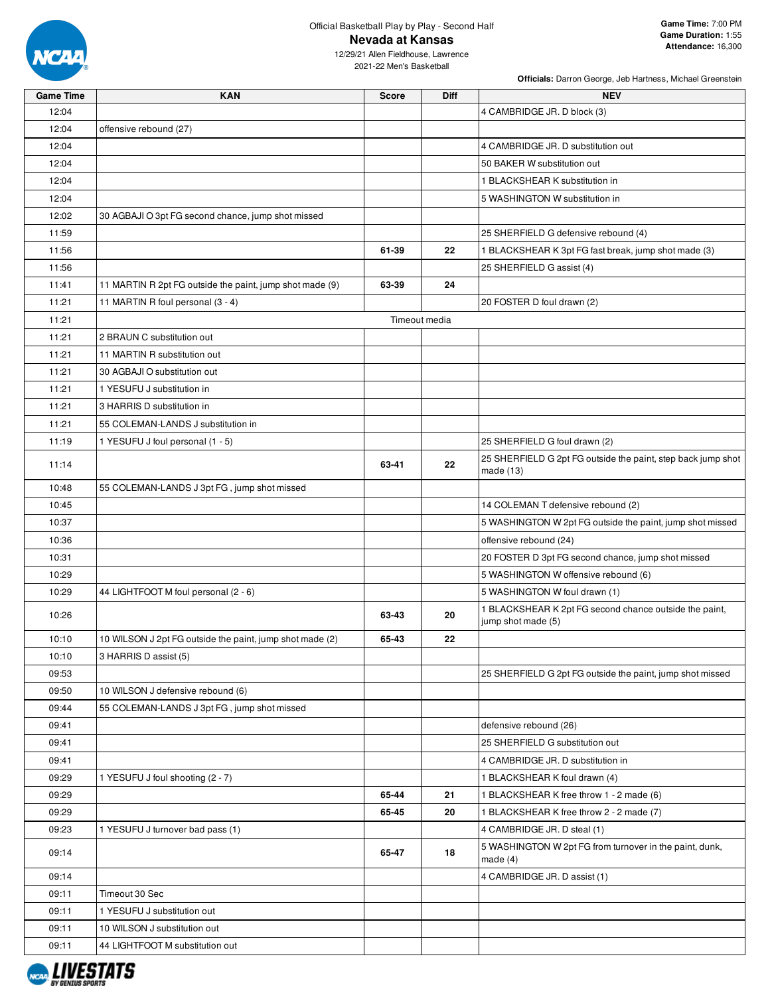

**Officials:** Darron George, Jeb Hartness, Michael Greenstein

| <b>Game Time</b> | <b>KAN</b>                                               | <b>Score</b> | <b>Diff</b>   | <b>NEV</b>                                                                   |
|------------------|----------------------------------------------------------|--------------|---------------|------------------------------------------------------------------------------|
| 12:04            |                                                          |              |               | 4 CAMBRIDGE JR. D block (3)                                                  |
| 12:04            | offensive rebound (27)                                   |              |               |                                                                              |
| 12:04            |                                                          |              |               | 4 CAMBRIDGE JR. D substitution out                                           |
| 12:04            |                                                          |              |               | 50 BAKER W substitution out                                                  |
| 12:04            |                                                          |              |               | 1 BLACKSHEAR K substitution in                                               |
| 12:04            |                                                          |              |               | 5 WASHINGTON W substitution in                                               |
| 12:02            | 30 AGBAJI O 3pt FG second chance, jump shot missed       |              |               |                                                                              |
| 11:59            |                                                          |              |               | 25 SHERFIELD G defensive rebound (4)                                         |
| 11:56            |                                                          | 61-39        | 22            | 1 BLACKSHEAR K 3pt FG fast break, jump shot made (3)                         |
| 11:56            |                                                          |              |               | 25 SHERFIELD G assist (4)                                                    |
| 11:41            | 11 MARTIN R 2pt FG outside the paint, jump shot made (9) | 63-39        | 24            |                                                                              |
| 11:21            | 11 MARTIN R foul personal (3 - 4)                        |              |               | 20 FOSTER D foul drawn (2)                                                   |
| 11:21            |                                                          |              | Timeout media |                                                                              |
| 11:21            | 2 BRAUN C substitution out                               |              |               |                                                                              |
| 11:21            | 11 MARTIN R substitution out                             |              |               |                                                                              |
| 11:21            | 30 AGBAJI O substitution out                             |              |               |                                                                              |
| 11:21            | 1 YESUFU J substitution in                               |              |               |                                                                              |
| 11:21            | 3 HARRIS D substitution in                               |              |               |                                                                              |
| 11:21            | 55 COLEMAN-LANDS J substitution in                       |              |               |                                                                              |
| 11:19            | 1 YESUFU J foul personal (1 - 5)                         |              |               | 25 SHERFIELD G foul drawn (2)                                                |
| 11:14            |                                                          | 63-41        | 22            | 25 SHERFIELD G 2pt FG outside the paint, step back jump shot<br>made $(13)$  |
| 10:48            | 55 COLEMAN-LANDS J 3pt FG, jump shot missed              |              |               |                                                                              |
| 10:45            |                                                          |              |               | 14 COLEMAN T defensive rebound (2)                                           |
| 10:37            |                                                          |              |               | 5 WASHINGTON W 2pt FG outside the paint, jump shot missed                    |
| 10:36            |                                                          |              |               | offensive rebound (24)                                                       |
| 10:31            |                                                          |              |               | 20 FOSTER D 3pt FG second chance, jump shot missed                           |
| 10:29            |                                                          |              |               | 5 WASHINGTON W offensive rebound (6)                                         |
| 10:29            | 44 LIGHTFOOT M foul personal (2 - 6)                     |              |               | 5 WASHINGTON W foul drawn (1)                                                |
| 10:26            |                                                          | 63-43        | 20            | 1 BLACKSHEAR K 2pt FG second chance outside the paint,<br>jump shot made (5) |
| 10:10            | 10 WILSON J 2pt FG outside the paint, jump shot made (2) | 65-43        | 22            |                                                                              |
| 10:10            | 3 HARRIS D assist (5)                                    |              |               |                                                                              |
| 09:53            |                                                          |              |               | 25 SHERFIELD G 2pt FG outside the paint, jump shot missed                    |
| 09:50            | 10 WILSON J defensive rebound (6)                        |              |               |                                                                              |
| 09:44            | 55 COLEMAN-LANDS J 3pt FG, jump shot missed              |              |               |                                                                              |
| 09:41            |                                                          |              |               | defensive rebound (26)                                                       |
| 09:41            |                                                          |              |               | 25 SHERFIELD G substitution out                                              |
| 09:41            |                                                          |              |               | 4 CAMBRIDGE JR. D substitution in                                            |
| 09:29            | 1 YESUFU J foul shooting (2 - 7)                         |              |               | 1 BLACKSHEAR K foul drawn (4)                                                |
| 09:29            |                                                          | 65-44        | 21            | 1 BLACKSHEAR K free throw 1 - 2 made (6)                                     |
| 09:29            |                                                          | 65-45        | 20            | 1 BLACKSHEAR K free throw 2 - 2 made (7)                                     |
| 09:23            | 1 YESUFU J turnover bad pass (1)                         |              |               | 4 CAMBRIDGE JR. D steal (1)                                                  |
| 09:14            |                                                          | 65-47        | 18            | 5 WASHINGTON W 2pt FG from turnover in the paint, dunk,<br>made $(4)$        |
| 09:14            |                                                          |              |               | 4 CAMBRIDGE JR. D assist (1)                                                 |
| 09:11            | Timeout 30 Sec                                           |              |               |                                                                              |
| 09:11            | 1 YESUFU J substitution out                              |              |               |                                                                              |
| 09:11            | 10 WILSON J substitution out                             |              |               |                                                                              |
| 09:11            | 44 LIGHTFOOT M substitution out                          |              |               |                                                                              |
|                  |                                                          |              |               |                                                                              |

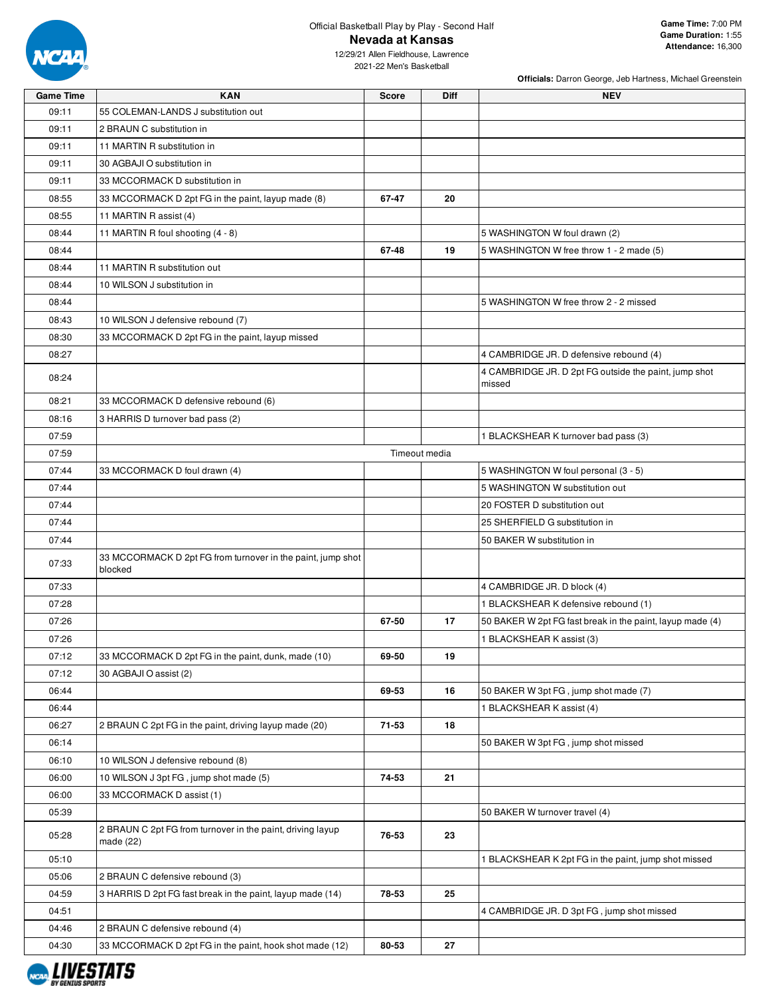

**Officials:** Darron George, Jeb Hartness, Michael Greenstein

| <b>Game Time</b> | <b>KAN</b>                                                              | <b>Score</b> | <b>Diff</b>   | <b>NEV</b>                                                |
|------------------|-------------------------------------------------------------------------|--------------|---------------|-----------------------------------------------------------|
| 09:11            | 55 COLEMAN-LANDS J substitution out                                     |              |               |                                                           |
| 09:11            | 2 BRAUN C substitution in                                               |              |               |                                                           |
| 09:11            | 11 MARTIN R substitution in                                             |              |               |                                                           |
| 09:11            | 30 AGBAJI O substitution in                                             |              |               |                                                           |
| 09:11            | 33 MCCORMACK D substitution in                                          |              |               |                                                           |
| 08:55            | 33 MCCORMACK D 2pt FG in the paint, layup made (8)                      | 67-47        | 20            |                                                           |
| 08:55            | 11 MARTIN R assist (4)                                                  |              |               |                                                           |
| 08:44            | 11 MARTIN R foul shooting (4 - 8)                                       |              |               | 5 WASHINGTON W foul drawn (2)                             |
| 08:44            |                                                                         | 67-48        | 19            | 5 WASHINGTON W free throw 1 - 2 made (5)                  |
| 08:44            | 11 MARTIN R substitution out                                            |              |               |                                                           |
| 08:44            | 10 WILSON J substitution in                                             |              |               |                                                           |
| 08:44            |                                                                         |              |               | 5 WASHINGTON W free throw 2 - 2 missed                    |
| 08:43            | 10 WILSON J defensive rebound (7)                                       |              |               |                                                           |
| 08:30            | 33 MCCORMACK D 2pt FG in the paint, layup missed                        |              |               |                                                           |
| 08:27            |                                                                         |              |               | 4 CAMBRIDGE JR. D defensive rebound (4)                   |
|                  |                                                                         |              |               | 4 CAMBRIDGE JR. D 2pt FG outside the paint, jump shot     |
| 08:24            |                                                                         |              |               | missed                                                    |
| 08:21            | 33 MCCORMACK D defensive rebound (6)                                    |              |               |                                                           |
| 08:16            | 3 HARRIS D turnover bad pass (2)                                        |              |               |                                                           |
| 07:59            |                                                                         |              |               | 1 BLACKSHEAR K turnover bad pass (3)                      |
| 07:59            |                                                                         |              | Timeout media |                                                           |
| 07:44            | 33 MCCORMACK D foul drawn (4)                                           |              |               | 5 WASHINGTON W foul personal (3 - 5)                      |
| 07:44            |                                                                         |              |               | 5 WASHINGTON W substitution out                           |
| 07:44            |                                                                         |              |               | 20 FOSTER D substitution out                              |
| 07:44            |                                                                         |              |               | 25 SHERFIELD G substitution in                            |
| 07:44            |                                                                         |              |               | 50 BAKER W substitution in                                |
| 07:33            | 33 MCCORMACK D 2pt FG from turnover in the paint, jump shot<br>blocked  |              |               |                                                           |
| 07:33            |                                                                         |              |               | 4 CAMBRIDGE JR. D block (4)                               |
| 07:28            |                                                                         |              |               | 1 BLACKSHEAR K defensive rebound (1)                      |
| 07:26            |                                                                         | 67-50        | 17            | 50 BAKER W 2pt FG fast break in the paint, layup made (4) |
| 07:26            |                                                                         |              |               | 1 BLACKSHEAR K assist (3)                                 |
| 07:12            | 33 MCCORMACK D 2pt FG in the paint, dunk, made (10)                     | 69-50        | 19            |                                                           |
| 07:12            | 30 AGBAJI O assist (2)                                                  |              |               |                                                           |
| 06:44            |                                                                         | 69-53        | 16            | 50 BAKER W 3pt FG, jump shot made (7)                     |
| 06:44            |                                                                         |              |               | 1 BLACKSHEAR K assist (4)                                 |
| 06:27            | 2 BRAUN C 2pt FG in the paint, driving layup made (20)                  | 71-53        | 18            |                                                           |
| 06:14            |                                                                         |              |               | 50 BAKER W 3pt FG, jump shot missed                       |
| 06:10            | 10 WILSON J defensive rebound (8)                                       |              |               |                                                           |
| 06:00            | 10 WILSON J 3pt FG, jump shot made (5)                                  | 74-53        | 21            |                                                           |
| 06:00            | 33 MCCORMACK D assist (1)                                               |              |               |                                                           |
| 05:39            |                                                                         |              |               | 50 BAKER W turnover travel (4)                            |
| 05:28            | 2 BRAUN C 2pt FG from turnover in the paint, driving layup<br>made (22) | 76-53        | 23            |                                                           |
| 05:10            |                                                                         |              |               | 1 BLACKSHEAR K 2pt FG in the paint, jump shot missed      |
| 05:06            | 2 BRAUN C defensive rebound (3)                                         |              |               |                                                           |
| 04:59            | 3 HARRIS D 2pt FG fast break in the paint, layup made (14)              | 78-53        | 25            |                                                           |
| 04:51            |                                                                         |              |               | 4 CAMBRIDGE JR. D 3pt FG, jump shot missed                |
| 04:46            | 2 BRAUN C defensive rebound (4)                                         |              |               |                                                           |
| 04:30            | 33 MCCORMACK D 2pt FG in the paint, hook shot made (12)                 | 80-53        | 27            |                                                           |
|                  |                                                                         |              |               |                                                           |

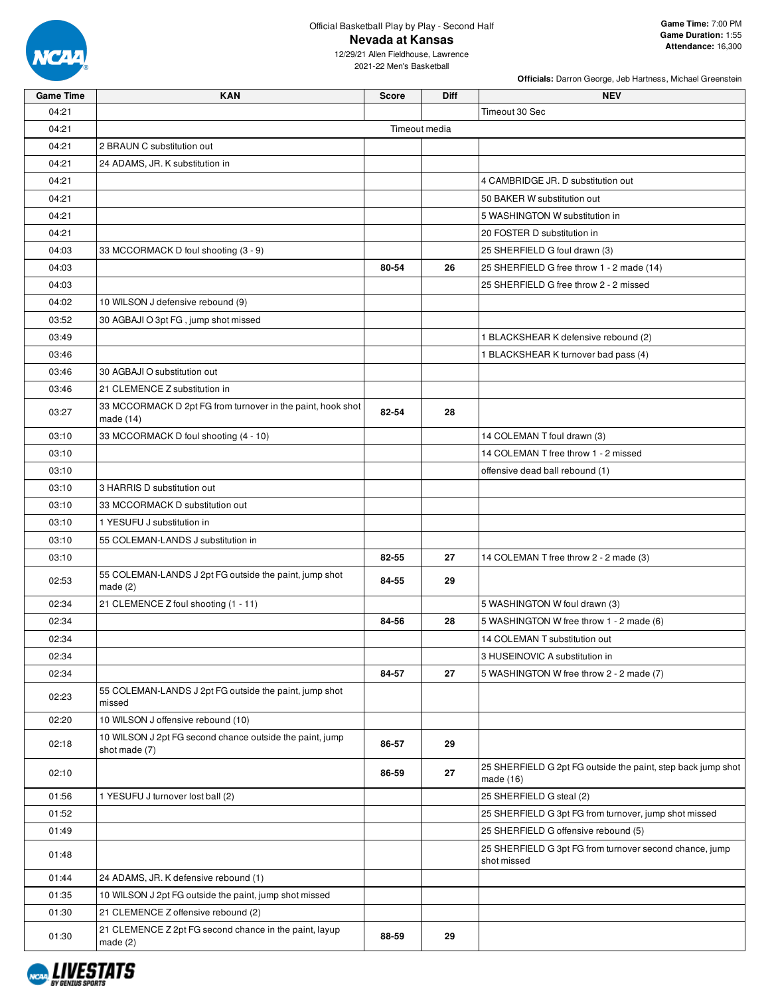

**Officials:** Darron George, Jeb Hartness, Michael Greenstein

| <b>Game Time</b> | <b>KAN</b>                                                                | <b>Score</b> | Diff          | <b>NEV</b>                                                                  |
|------------------|---------------------------------------------------------------------------|--------------|---------------|-----------------------------------------------------------------------------|
| 04:21            |                                                                           |              |               | Timeout 30 Sec                                                              |
| 04:21            |                                                                           |              | Timeout media |                                                                             |
| 04:21            | 2 BRAUN C substitution out                                                |              |               |                                                                             |
| 04:21            | 24 ADAMS, JR. K substitution in                                           |              |               |                                                                             |
| 04:21            |                                                                           |              |               | 4 CAMBRIDGE JR. D substitution out                                          |
| 04:21            |                                                                           |              |               | 50 BAKER W substitution out                                                 |
| 04:21            |                                                                           |              |               | 5 WASHINGTON W substitution in                                              |
| 04:21            |                                                                           |              |               | 20 FOSTER D substitution in                                                 |
| 04:03            | 33 MCCORMACK D foul shooting (3 - 9)                                      |              |               | 25 SHERFIELD G foul drawn (3)                                               |
| 04:03            |                                                                           | 80-54        | 26            | 25 SHERFIELD G free throw 1 - 2 made (14)                                   |
| 04:03            |                                                                           |              |               | 25 SHERFIELD G free throw 2 - 2 missed                                      |
| 04:02            | 10 WILSON J defensive rebound (9)                                         |              |               |                                                                             |
| 03:52            | 30 AGBAJI O 3pt FG, jump shot missed                                      |              |               |                                                                             |
| 03:49            |                                                                           |              |               | 1 BLACKSHEAR K defensive rebound (2)                                        |
| 03:46            |                                                                           |              |               | 1 BLACKSHEAR K turnover bad pass (4)                                        |
| 03:46            | 30 AGBAJI O substitution out                                              |              |               |                                                                             |
| 03:46            | 21 CLEMENCE Z substitution in                                             |              |               |                                                                             |
|                  | 33 MCCORMACK D 2pt FG from turnover in the paint, hook shot               |              |               |                                                                             |
| 03:27            | made (14)                                                                 | 82-54        | 28            |                                                                             |
| 03:10            | 33 MCCORMACK D foul shooting (4 - 10)                                     |              |               | 14 COLEMAN T foul drawn (3)                                                 |
| 03:10            |                                                                           |              |               | 14 COLEMAN T free throw 1 - 2 missed                                        |
| 03:10            |                                                                           |              |               | offensive dead ball rebound (1)                                             |
| 03:10            | 3 HARRIS D substitution out                                               |              |               |                                                                             |
| 03:10            | 33 MCCORMACK D substitution out                                           |              |               |                                                                             |
| 03:10            | 1 YESUFU J substitution in                                                |              |               |                                                                             |
| 03:10            | 55 COLEMAN-LANDS J substitution in                                        |              |               |                                                                             |
| 03:10            |                                                                           | 82-55        | 27            | 14 COLEMAN T free throw 2 - 2 made (3)                                      |
| 02:53            | 55 COLEMAN-LANDS J 2pt FG outside the paint, jump shot<br>made(2)         | 84-55        | 29            |                                                                             |
| 02:34            | 21 CLEMENCE Z foul shooting (1 - 11)                                      |              |               | 5 WASHINGTON W foul drawn (3)                                               |
| 02:34            |                                                                           | 84-56        | 28            | 5 WASHINGTON W free throw 1 - 2 made (6)                                    |
| 02:34            |                                                                           |              |               | 14 COLEMAN T substitution out                                               |
| 02:34            |                                                                           |              |               | 3 HUSEINOVIC A substitution in                                              |
| 02:34            |                                                                           | 84-57        | 27            | 5 WASHINGTON W free throw 2 - 2 made (7)                                    |
| 02:23            | 55 COLEMAN-LANDS J 2pt FG outside the paint, jump shot<br>missed          |              |               |                                                                             |
| 02:20            | 10 WILSON J offensive rebound (10)                                        |              |               |                                                                             |
| 02:18            | 10 WILSON J 2pt FG second chance outside the paint, jump<br>shot made (7) | 86-57        | 29            |                                                                             |
| 02:10            |                                                                           | 86-59        | 27            | 25 SHERFIELD G 2pt FG outside the paint, step back jump shot<br>made $(16)$ |
| 01:56            | 1 YESUFU J turnover lost ball (2)                                         |              |               | 25 SHERFIELD G steal (2)                                                    |
| 01:52            |                                                                           |              |               | 25 SHERFIELD G 3pt FG from turnover, jump shot missed                       |
| 01:49            |                                                                           |              |               | 25 SHERFIELD G offensive rebound (5)                                        |
| 01:48            |                                                                           |              |               | 25 SHERFIELD G 3pt FG from turnover second chance, jump<br>shot missed      |
| 01:44            | 24 ADAMS, JR. K defensive rebound (1)                                     |              |               |                                                                             |
| 01:35            | 10 WILSON J 2pt FG outside the paint, jump shot missed                    |              |               |                                                                             |
| 01:30            | 21 CLEMENCE Z offensive rebound (2)                                       |              |               |                                                                             |
| 01:30            | 21 CLEMENCE Z 2pt FG second chance in the paint, layup<br>made(2)         | 88-59        | 29            |                                                                             |

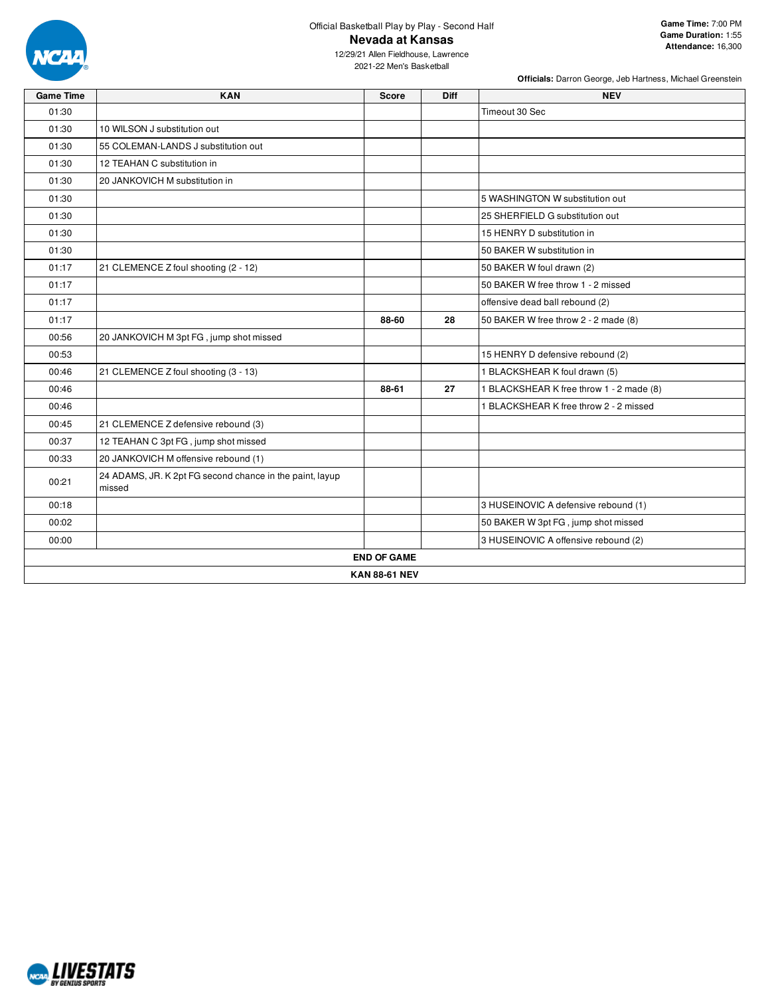

**Officials:** Darron George, Jeb Hartness, Michael Greenstein

| <b>Game Time</b> | <b>KAN</b>                                                         | <b>Score</b>       | Diff | <b>NEV</b>                               |  |  |  |
|------------------|--------------------------------------------------------------------|--------------------|------|------------------------------------------|--|--|--|
| 01:30            |                                                                    |                    |      | Timeout 30 Sec                           |  |  |  |
| 01:30            | 10 WILSON J substitution out                                       |                    |      |                                          |  |  |  |
| 01:30            | 55 COLEMAN-LANDS J substitution out                                |                    |      |                                          |  |  |  |
| 01:30            | 12 TEAHAN C substitution in                                        |                    |      |                                          |  |  |  |
| 01:30            | 20 JANKOVICH M substitution in                                     |                    |      |                                          |  |  |  |
| 01:30            |                                                                    |                    |      | 5 WASHINGTON W substitution out          |  |  |  |
| 01:30            |                                                                    |                    |      | 25 SHERFIELD G substitution out          |  |  |  |
| 01:30            |                                                                    |                    |      | 15 HENRY D substitution in               |  |  |  |
| 01:30            |                                                                    |                    |      | 50 BAKER W substitution in               |  |  |  |
| 01:17            | 21 CLEMENCE Z foul shooting (2 - 12)                               |                    |      | 50 BAKER W foul drawn (2)                |  |  |  |
| 01:17            |                                                                    |                    |      | 50 BAKER W free throw 1 - 2 missed       |  |  |  |
| 01:17            |                                                                    |                    |      | offensive dead ball rebound (2)          |  |  |  |
| 01:17            |                                                                    | 88-60              | 28   | 50 BAKER W free throw 2 - 2 made (8)     |  |  |  |
| 00:56            | 20 JANKOVICH M 3pt FG, jump shot missed                            |                    |      |                                          |  |  |  |
| 00:53            |                                                                    |                    |      | 15 HENRY D defensive rebound (2)         |  |  |  |
| 00:46            | 21 CLEMENCE Z foul shooting (3 - 13)                               |                    |      | 1 BLACKSHEAR K foul drawn (5)            |  |  |  |
| 00:46            |                                                                    | 88-61              | 27   | 1 BLACKSHEAR K free throw 1 - 2 made (8) |  |  |  |
| 00:46            |                                                                    |                    |      | 1 BLACKSHEAR K free throw 2 - 2 missed   |  |  |  |
| 00:45            | 21 CLEMENCE Z defensive rebound (3)                                |                    |      |                                          |  |  |  |
| 00:37            | 12 TEAHAN C 3pt FG, jump shot missed                               |                    |      |                                          |  |  |  |
| 00:33            | 20 JANKOVICH M offensive rebound (1)                               |                    |      |                                          |  |  |  |
| 00:21            | 24 ADAMS, JR. K 2pt FG second chance in the paint, layup<br>missed |                    |      |                                          |  |  |  |
| 00:18            |                                                                    |                    |      | 3 HUSEINOVIC A defensive rebound (1)     |  |  |  |
| 00:02            |                                                                    |                    |      | 50 BAKER W 3pt FG, jump shot missed      |  |  |  |
| 00:00            |                                                                    |                    |      | 3 HUSEINOVIC A offensive rebound (2)     |  |  |  |
|                  |                                                                    | <b>END OF GAME</b> |      |                                          |  |  |  |
|                  | <b>KAN 88-61 NEV</b>                                               |                    |      |                                          |  |  |  |

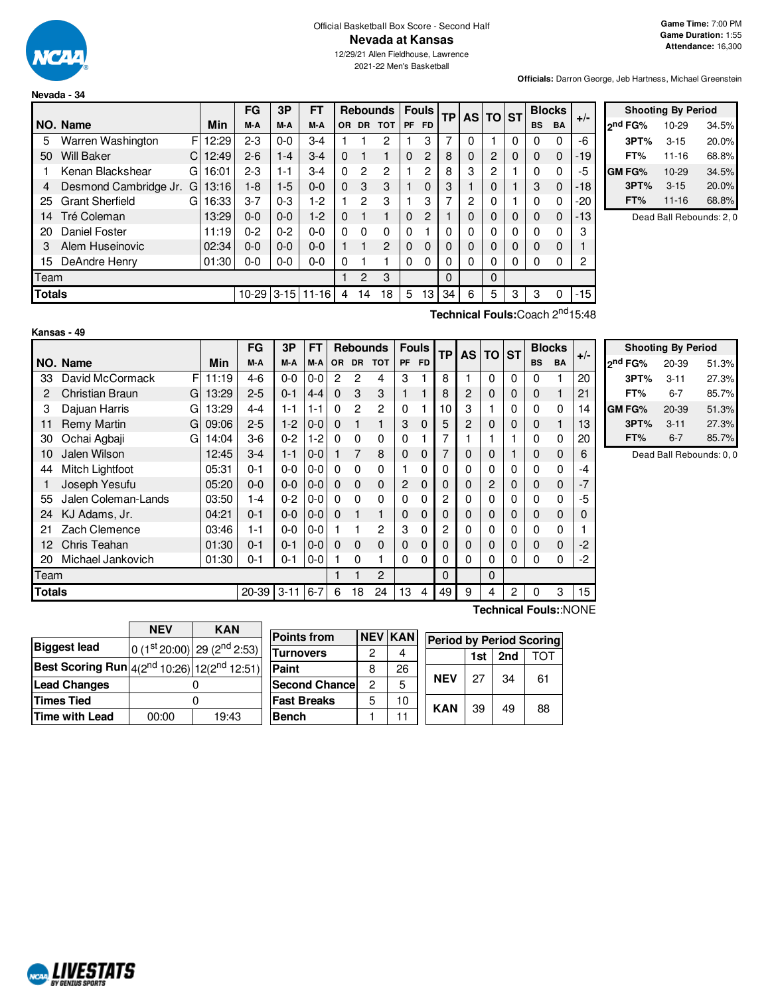

#### Official Basketball Box Score - Second Half **Nevada at Kansas**

12/29/21 Allen Fieldhouse, Lawrence 2021-22 Men's Basketball

**Officials:** Darron George, Jeb Hartness, Michael Greenstein

|                                        |                        |    |       | FG      | 3P      | FT        |          |                | <b>Rebounds</b> |           | <b>Fouls</b>   | <b>TP</b> |   | AS TO ST    |          |           | <b>Blocks</b> |       |
|----------------------------------------|------------------------|----|-------|---------|---------|-----------|----------|----------------|-----------------|-----------|----------------|-----------|---|-------------|----------|-----------|---------------|-------|
|                                        | NO. Name               |    | Min   | M-A     | M-A     | M-A       | 0R       | <b>DR</b>      | <b>TOT</b>      | <b>PF</b> | <b>FD</b>      |           |   |             |          | <b>BS</b> | <b>BA</b>     | $+/-$ |
| 5                                      | Warren Washington      | F  | 12:29 | 2-3     | $0 - 0$ | $3-4$     |          |                | 2               |           | 3              | 7         | 0 |             | 0        | 0         | 0             | -6    |
| 50                                     | <b>Will Baker</b>      | C. | 12:49 | $2 - 6$ | $1 - 4$ | $3-4$     | $\Omega$ | 1              |                 | 0         | 2              | 8         | 0 | 2           | 0        | 0         | $\Omega$      | $-19$ |
|                                        | Kenan Blackshear       | G  | 16:01 | $2-3$   | 1-1     | $3-4$     | $\Omega$ | $\overline{2}$ | 2               |           | 2              | 8         | 3 | 2           |          | 0         | 0             | -5    |
| 4                                      | Desmond Cambridge Jr.  | G  | 13:16 | $1 - 8$ | $1-5$   | $0 - 0$   | $\Omega$ | 3              | 3               |           | $\Omega$       | 3         |   | 0           |          | 3         | $\Omega$      | -18   |
| 25                                     | <b>Grant Sherfield</b> | GI | 16:33 | $3 - 7$ | $0 - 3$ | 1-2       |          | 2              | 3               |           | 3              | ⇁         | 2 | 0           |          | 0         | 0             | $-20$ |
| 14                                     | Tré Coleman            |    | 13:29 | $0 - 0$ | $0 - 0$ | $1-2$     | $\Omega$ | $\mathbf{1}$   | 1               | $\Omega$  | $\overline{2}$ |           | 0 | $\Omega$    | $\Omega$ | $\Omega$  | $\Omega$      | -13   |
| 20                                     | Daniel Foster          |    | 11:19 | $0 - 2$ | $0 - 2$ | $0 - 0$   | $\Omega$ | $\Omega$       | 0               | $\Omega$  |                | $\Omega$  | 0 | 0           | $\Omega$ | 0         | 0             | 3     |
| 3                                      | Alem Huseinovic        |    | 02:34 | $0 - 0$ | $0 - 0$ | $0 - 0$   |          | 1              | $\overline{2}$  | $\Omega$  | $\Omega$       |           | 0 | 0           | 0        | $\Omega$  | 0             |       |
| 15                                     | DeAndre Henry          |    | 01:30 | 0-0     | $0 - 0$ | $0 - 0$   | 0        |                |                 | 0         | 0              |           | 0 | 0           | 0        | 0         | 0             | 2     |
| Team                                   |                        |    |       |         |         |           |          | 2              | 3               |           |                | $\Omega$  |   | $\mathbf 0$ |          |           |               |       |
| <b>Totals</b><br>$10 - 29$<br>$3 - 15$ |                        |    |       |         |         | $11 - 16$ | 4        | 14             | 18              | 5         | 13             | 34        | 6 | 5           | 3        | 3         | 0             | -15   |
|                                        |                        |    |       |         |         |           |          |                |                 |           |                |           |   |             |          |           | $-nd$         |       |

|               | <b>Shooting By Period</b> |       |
|---------------|---------------------------|-------|
| 2nd FG%       | 10-29                     | 34.5% |
| 3PT%          | $3 - 15$                  | 20.0% |
| FT%           | $11 - 16$                 | 68.8% |
| <b>GM FG%</b> | $10 - 29$                 | 34.5% |
| 3PT%          | $3 - 15$                  | 20.0% |
| FT%           | $11 - 16$                 | 68.8% |

Dead Ball Rebounds: 2, 0

**Technical Fouls:**Coach 2 nd15:48

|               | Kansas - 49         |    |       |         |          |           |                |                |                 |                |              |    |           |           |           |           |               |       |   |
|---------------|---------------------|----|-------|---------|----------|-----------|----------------|----------------|-----------------|----------------|--------------|----|-----------|-----------|-----------|-----------|---------------|-------|---|
|               |                     |    |       | FG      | 3P       | <b>FT</b> |                |                | <b>Rebounds</b> |                | <b>Fouls</b> | TP | <b>AS</b> | <b>TO</b> | <b>ST</b> |           | <b>Blocks</b> | $+/-$ |   |
|               | NO. Name            |    | Min   | M-A     | M-A      | M-A       | <b>OR</b>      | <b>DR</b>      | <b>TOT</b>      | PF             | <b>FD</b>    |    |           |           |           | <b>BS</b> | <b>BA</b>     |       | 2 |
| 33            | David McCormack     | FI | 11:19 | $4-6$   | $0 - 0$  | $0-0$     | $\overline{c}$ | 2              | 4               | 3              |              | 8  |           | 0         | 0         | 0         |               | 20    |   |
| 2             | Christian Braun     | G  | 13:29 | $2 - 5$ | $0 - 1$  | 4-4       | $\Omega$       | 3              | 3               | 1              |              | 8  | 2         | 0         | 0         | 0         | $\mathbf{1}$  | 21    |   |
| 3             | Dajuan Harris       | G  | 13:29 | $4 - 4$ | $1 - 1$  | $1 - 1$   | $\Omega$       | $\overline{2}$ | 2               | $\Omega$       |              | 10 | 3         |           | 0         | 0         | $\mathbf 0$   | 14    | G |
| 11            | Remy Martin         | G  | 09:06 | $2 - 5$ | $1-2$    | $0-0$     | $\Omega$       |                | 1               | 3              | $\mathbf 0$  | 5  | 2         | 0         | 0         | 0         | 1             | 13    |   |
| 30            | Ochai Agbaji        | G  | 14:04 | $3-6$   | $0 - 2$  | $1-2$     | $\Omega$       | $\Omega$       | $\Omega$        | $\Omega$       |              | 7  |           |           |           | 0         | 0             | 20    |   |
| 10            | Jalen Wilson        |    | 12:45 | $3-4$   | $1 - 1$  | $0-0$     |                | 7              | 8               | $\mathbf 0$    | 0            | 7  | 0         | 0         |           | 0         | $\mathbf 0$   | 6     |   |
| 44            | Mitch Lightfoot     |    | 05:31 | $0 - 1$ | $0 - 0$  | $0-0$     | 0              | $\Omega$       | 0               |                | 0            | 0  | 0         | 0         | 0         | 0         | 0             | -4    |   |
|               | Joseph Yesufu       |    | 05:20 | $0 - 0$ | $0 - 0$  | $0-0$     | $\Omega$       | $\Omega$       | $\Omega$        | $\overline{2}$ | $\mathbf 0$  | 0  | 0         | 2         | 0         | 0         | $\mathbf 0$   | $-7$  |   |
| 55            | Jalen Coleman-Lands |    | 03:50 | $1 - 4$ | $0 - 2$  | $0-0$     | $\Omega$       | $\Omega$       | 0               | 0              | 0            | 2  | 0         | 0         | 0         | 0         | 0             | -5    |   |
| 24            | KJ Adams, Jr.       |    | 04:21 | $0 - 1$ | $0 - 0$  | $0-0$     | $\Omega$       |                | 1               | 0              | 0            | 0  | 0         | 0         | 0         | 0         | 0             | O     |   |
| 21            | Zach Clemence       |    | 03:46 | 1-1     | $0 - 0$  | $0-0$     |                |                | 2               | 3              | 0            | 2  | 0         | 0         | 0         | 0         | 0             |       |   |
| 12            | Chris Teahan        |    | 01:30 | $0 - 1$ | $0 - 1$  | $0 - 0$   | $\Omega$       | $\Omega$       | $\Omega$        | 0              | 0            | 0  | 0         | 0         | 0         | 0         | 0             | $-2$  |   |
| 20            | Michael Jankovich   |    | 01:30 | $0 - 1$ | $0 - 1$  | $0-0$     |                | 0              |                 | 0              | 0            | 0  | $\Omega$  | 0         | 0         | 0         | 0             | -2    |   |
| Team          |                     |    |       |         |          |           |                |                | 2               |                |              | 0  |           | 0         |           |           |               |       |   |
| <b>Totals</b> |                     |    |       | 20-39   | $3 - 11$ | $6 - 7$   | 6              | 18             | 24              | 13             | 4            | 49 | 9         | 4         | 2         | $\Omega$  | 3             | 15    |   |

|                     | <b>Shooting By Period</b> |       |
|---------------------|---------------------------|-------|
| 2 <sup>nd</sup> FG% | 20-39                     | 51.3% |
| 3PT%                | $3 - 11$                  | 27.3% |
| FT%                 | 6-7                       | 85.7% |
| GM FG%              | 20-39                     | 51.3% |
| 3PT%                | $3 - 11$                  | 27.3% |
| FT%                 | $6 - 7$                   | 85.7% |

Dead Ball Rebounds: 0, 0

|                                                                                 | <b>NEV</b> | <b>KAN</b>                                                                                     |
|---------------------------------------------------------------------------------|------------|------------------------------------------------------------------------------------------------|
| <b>Biggest lead</b>                                                             |            | $\left  0 \right. (1^{\text{st}} 20:00) \left  29 \left. (2^{\text{nd}} 2:53) \right. \right $ |
| Best Scoring Run $\left 4(2^{\text{nd}}10:26)\right $ 12(2 <sup>nd</sup> 12:51) |            |                                                                                                |
| <b>Lead Changes</b>                                                             |            |                                                                                                |
| <b>Times Tied</b>                                                               |            |                                                                                                |
| <b>Time with Lead</b>                                                           | 00:00      | 19:43                                                                                          |

| <b>Points from</b>    | <b>NEV</b> | <b>KAN</b> | <b>Period by Period Scoring</b> |            |     |     |     |  |  |  |  |  |  |
|-----------------------|------------|------------|---------------------------------|------------|-----|-----|-----|--|--|--|--|--|--|
| Turnovers             | 2          |            |                                 |            | 1st | 2nd | TOT |  |  |  |  |  |  |
| Paint                 | 8          | 26         |                                 |            |     |     |     |  |  |  |  |  |  |
| <b>Second Chancel</b> | 2          | 5          |                                 | <b>NEV</b> | 27  | 34  | 61  |  |  |  |  |  |  |
| <b>Fast Breaks</b>    | 5          | 10         |                                 | <b>KAN</b> | 39  | 49  | 88  |  |  |  |  |  |  |
| Bench                 |            | 11         |                                 |            |     |     |     |  |  |  |  |  |  |

**Technical Fouls:**:NONE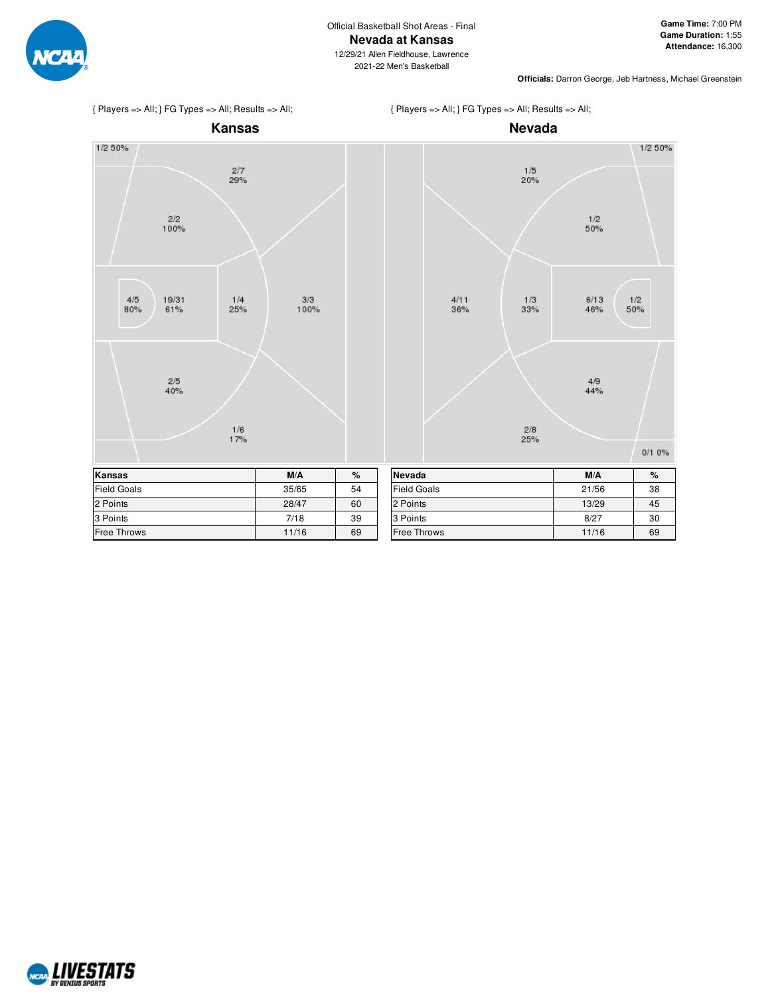

2021-22 Men's Basketball

{ Players => All; } FG Types => All; Results => All;





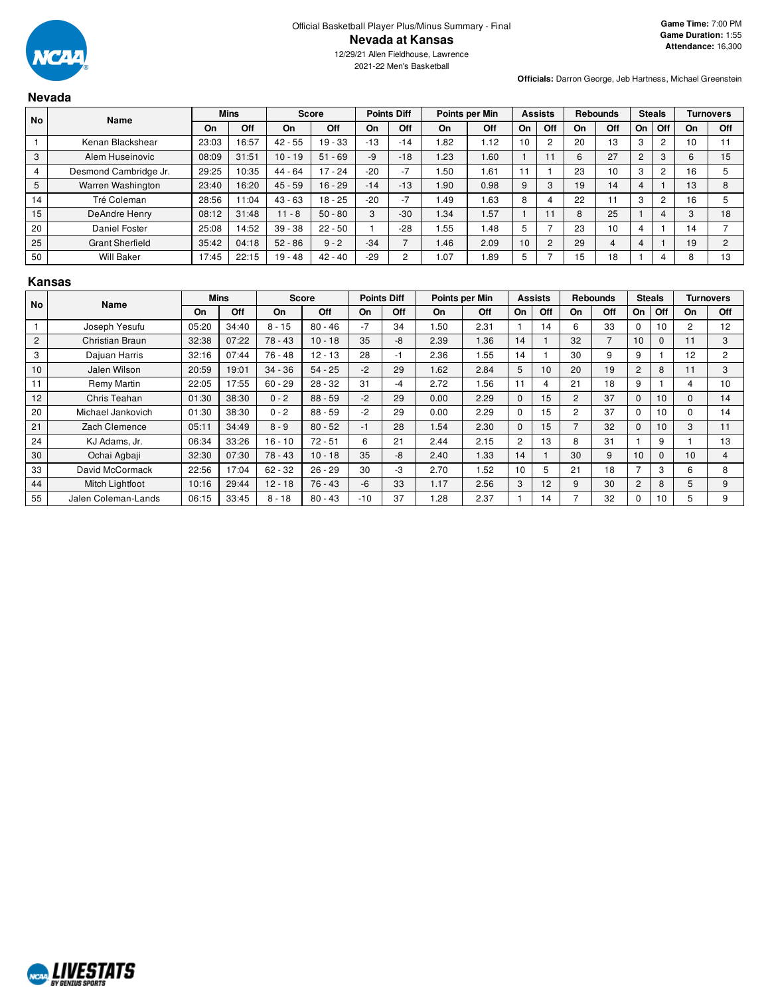

2021-22 Men's Basketball

**Officials:** Darron George, Jeb Hartness, Michael Greenstein

# **Nevada**

| <b>No</b> | Name                   |       | <b>Mins</b> |           | <b>Score</b> |       | <b>Points Diff</b> |      | Points per Min |    | <b>Assists</b> |    | <b>Rebounds</b> |    | <b>Steals</b>  |    | <b>Turnovers</b> |
|-----------|------------------------|-------|-------------|-----------|--------------|-------|--------------------|------|----------------|----|----------------|----|-----------------|----|----------------|----|------------------|
|           |                        | On    | Off         | On        | Off          | On    | Off                | On   | Off            | On | Off            | On | Off             | On | Off            | On | Off              |
|           | Kenan Blackshear       | 23:03 | 16:57       | $42 - 55$ | $19 - 33$    | $-13$ | $-14$              | 1.82 | 1.12           | 10 | 2              | 20 | 13              | 3  | $\overline{c}$ | 10 |                  |
| 3         | Alem Huseinovic        | 08:09 | 31:51       | $10 - 19$ | $51 - 69$    | -9    | $-18$              | 1.23 | .60            |    |                | 6  | 27              | 2  | 3              | 6  | 15               |
|           | Desmond Cambridge Jr.  | 29:25 | 10:35       | $44 - 64$ | $17 - 24$    | $-20$ | $-7$               | .50  | . 61           | 11 |                | 23 | 10              | 3  | $\overline{c}$ | 16 |                  |
| 5         | Warren Washington      | 23:40 | 16:20       | $45 - 59$ | $16 - 29$    | $-14$ | $-13$              | 1.90 | 0.98           | 9  | 3              | 19 | 14              |    |                | 13 |                  |
| 14        | Tré Coleman            | 28:56 | 1:04        | $43 - 63$ | $18 - 25$    | $-20$ | $-7$               | 1.49 | .63            | 8  |                | 22 |                 | 3  | $\overline{c}$ | 16 |                  |
| 15        | DeAndre Henry          | 08:12 | 31:48       | $11 - 8$  | $50 - 80$    | 3     | $-30$              | 1.34 | 1.57           |    |                | 8  | 25              |    |                | 3  | 18               |
| 20        | Daniel Foster          | 25:08 | 14:52       | $39 - 38$ | $22 - 50$    |       | $-28$              | .55  | l.48           | 5  |                | 23 | 10              |    |                | 14 |                  |
| 25        | <b>Grant Sherfield</b> | 35:42 | 04:18       | $52 - 86$ | $9 - 2$      | $-34$ |                    | 1.46 | 2.09           | 10 | $\overline{2}$ | 29 | 4               | 4  |                | 19 |                  |
| 50        | <b>Will Baker</b>      | 17:45 | 22:15       | $19 - 48$ | $42 - 40$    | $-29$ | c                  | 1.07 | .89            | 5  |                | 15 | 18              |    |                |    | 13               |

#### **Kansas**

| <b>No</b> | Name                |       | <b>Mins</b> |           | Score     |       | <b>Points Diff</b> |      | Points per Min |                | <b>Assists</b> |                | <b>Rebounds</b> |                | <b>Steals</b> |          | <b>Turnovers</b> |
|-----------|---------------------|-------|-------------|-----------|-----------|-------|--------------------|------|----------------|----------------|----------------|----------------|-----------------|----------------|---------------|----------|------------------|
|           |                     | On    | Off         | <b>On</b> | Off       | On    | Off                | On   | Off            | On             | Off            | On             | Off             | <b>On</b>      | Off           | On       | Off              |
|           | Joseph Yesufu       | 05:20 | 34:40       | $8 - 15$  | $80 - 46$ | $-7$  | 34                 | 1.50 | 2.31           |                | 14             | 6              | 33              | 0              | 10            | 2        | 12               |
| 2         | Christian Braun     | 32:38 | 07:22       | $78 - 43$ | $10 - 18$ | 35    | -8                 | 2.39 | 1.36           | 14             |                | 32             | 7               | 10             | $\mathbf{0}$  | 11       | 3                |
| 3         | Dajuan Harris       | 32:16 | 07:44       | $76 - 48$ | $12 - 13$ | 28    | -1                 | 2.36 | 1.55           | 14             |                | 30             | 9               | 9              |               | 12       | $\overline{2}$   |
| 10        | Jalen Wilson        | 20:59 | 19:01       | $34 - 36$ | $54 - 25$ | $-2$  | 29                 | 1.62 | 2.84           | 5              | 10             | 20             | 19              | $\overline{c}$ | 8             | 11       | 3                |
| 11        | Remy Martin         | 22:05 | 17:55       | $60 - 29$ | $28 - 32$ | 31    | -4                 | 2.72 | 1.56           | 11             | 4              | 21             | 18              | 9              |               | 4        | 10               |
| 12        | Chris Teahan        | 01:30 | 38:30       | $0 - 2$   | $88 - 59$ | $-2$  | 29                 | 0.00 | 2.29           | $\mathbf{0}$   | 15             | $\overline{2}$ | 37              | $\Omega$       | 10            | $\Omega$ | 14               |
| 20        | Michael Jankovich   | 01:30 | 38:30       | $0 - 2$   | $88 - 59$ | $-2$  | 29                 | 0.00 | 2.29           | $\Omega$       | 15             | 2              | 37              | $\Omega$       | 10            | 0        | 14               |
| 21        | Zach Clemence       | 05:11 | 34:49       | $8 - 9$   | $80 - 52$ | $-1$  | 28                 | 1.54 | 2.30           | $\Omega$       | 15             |                | 32              | $\Omega$       | 10            | 3        | 11               |
| 24        | KJ Adams, Jr.       | 06:34 | 33:26       | $16 - 10$ | $72 - 51$ | 6     | 21                 | 2.44 | 2.15           | $\overline{2}$ | 13             | 8              | 31              |                | 9             |          | 13               |
| 30        | Ochai Agbaji        | 32:30 | 07:30       | $78 - 43$ | $10 - 18$ | 35    | -8                 | 2.40 | 1.33           | 14             |                | 30             | 9               | 10             | $\Omega$      | 10       | 4                |
| 33        | David McCormack     | 22:56 | 17:04       | $62 - 32$ | $26 - 29$ | 30    | -3                 | 2.70 | 1.52           | 10             | 5              | 21             | 18              | 7              | 3             | 6        | 8                |
| 44        | Mitch Lightfoot     | 10:16 | 29:44       | $12 - 18$ | $76 - 43$ | -6    | 33                 | 1.17 | 2.56           | 3              | 12             | 9              | 30              | 2              | 8             | 5        | 9                |
| 55        | Jalen Coleman-Lands | 06:15 | 33:45       | $8 - 18$  | $80 - 43$ | $-10$ | 37                 | 1.28 | 2.37           |                | 14             |                | 32              | $\Omega$       | 10            | 5        | 9                |

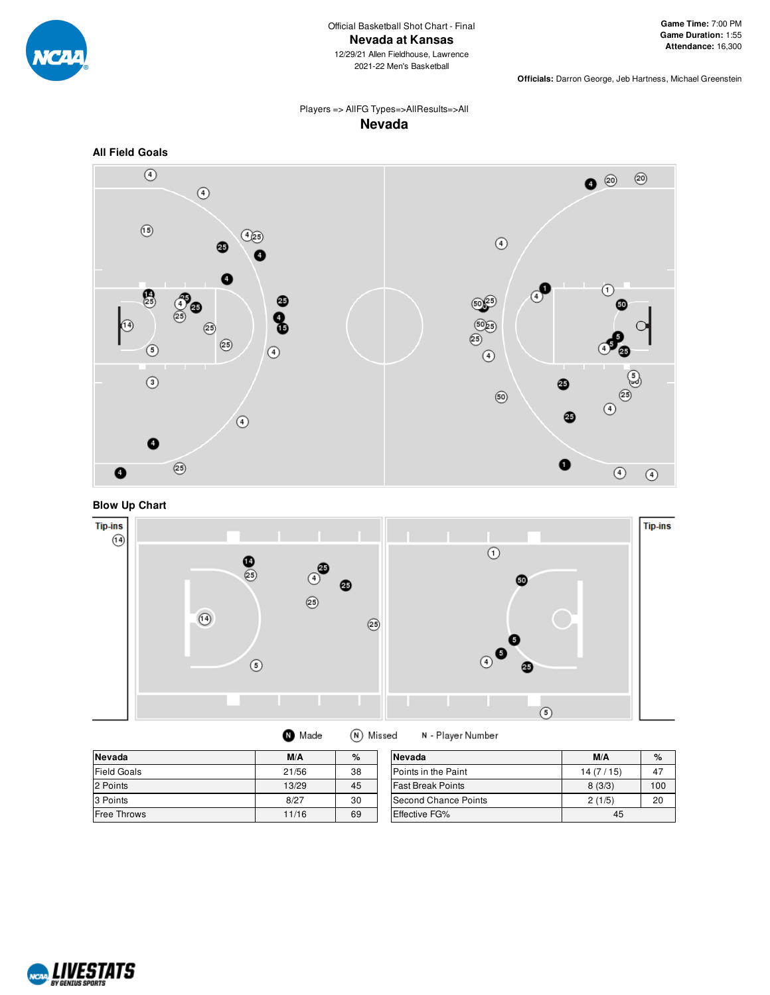

**Officials:** Darron George, Jeb Hartness, Michael Greenstein

# Players => AllFG Types=>AllResults=>All **Nevada**



**Blow Up Chart**



| Nevada             | M/A   | $\%$ | Nevada                     | M/A      | $\%$ |
|--------------------|-------|------|----------------------------|----------|------|
| <b>Field Goals</b> | 21/56 | 38   | <b>Points in the Paint</b> | 14(7/15) | 47   |
| 2 Points           | 13/29 | 45   | <b>Fast Break Points</b>   | 8(3/3)   | 100  |
| 3 Points           | 8/27  | 30   | Second Chance Points       | 2(1/5)   | 20   |
| <b>Free Throws</b> | 11/16 | 69   | <b>Effective FG%</b>       | 45       |      |

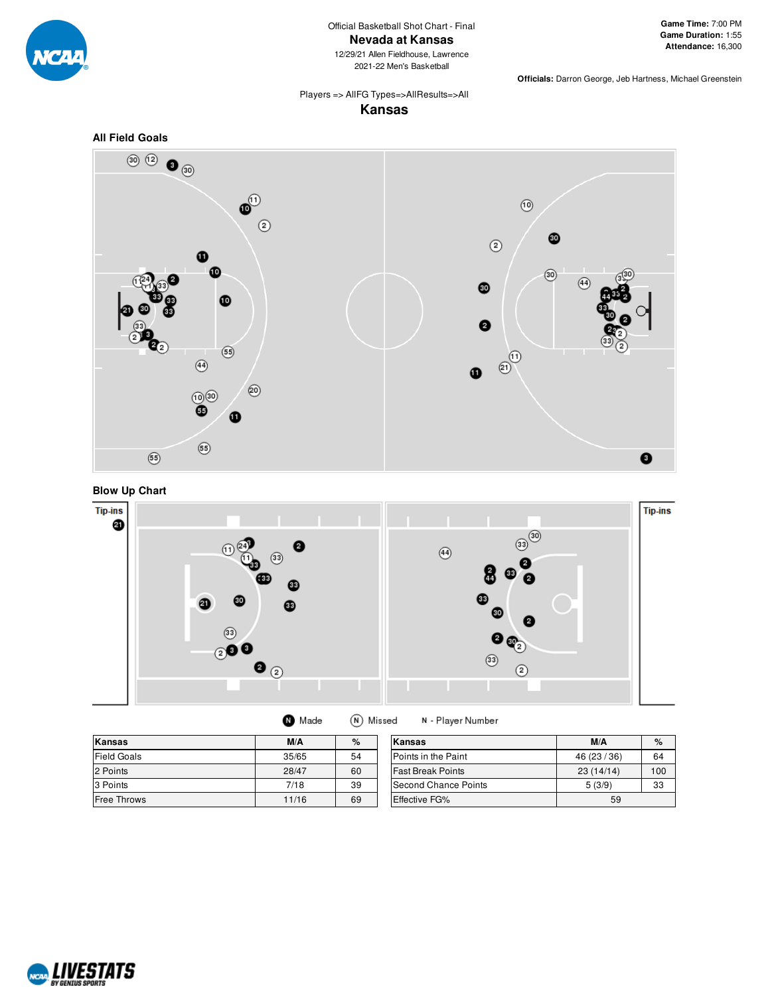

2021-22 Men's Basketball

**Officials:** Darron George, Jeb Hartness, Michael Greenstein

# Players => AllFG Types=>AllResults=>All

**Kansas**







 $\bullet$  Made (N) Missed

N - Player Number

| Kansas             | M/A   | %  | Kansas                   | M/A          | %   |
|--------------------|-------|----|--------------------------|--------------|-----|
| <b>Field Goals</b> | 35/65 | 54 | Points in the Paint      | 46 (23 / 36) | 64  |
| 2 Points           | 28/47 | 60 | <b>Fast Break Points</b> | 23(14/14)    | 100 |
| 3 Points           | 7/18  | 39 | Second Chance Points     | 5(3/9)       | 33  |
| <b>Free Throws</b> | 11/16 | 69 | <b>Effective FG%</b>     | 59           |     |

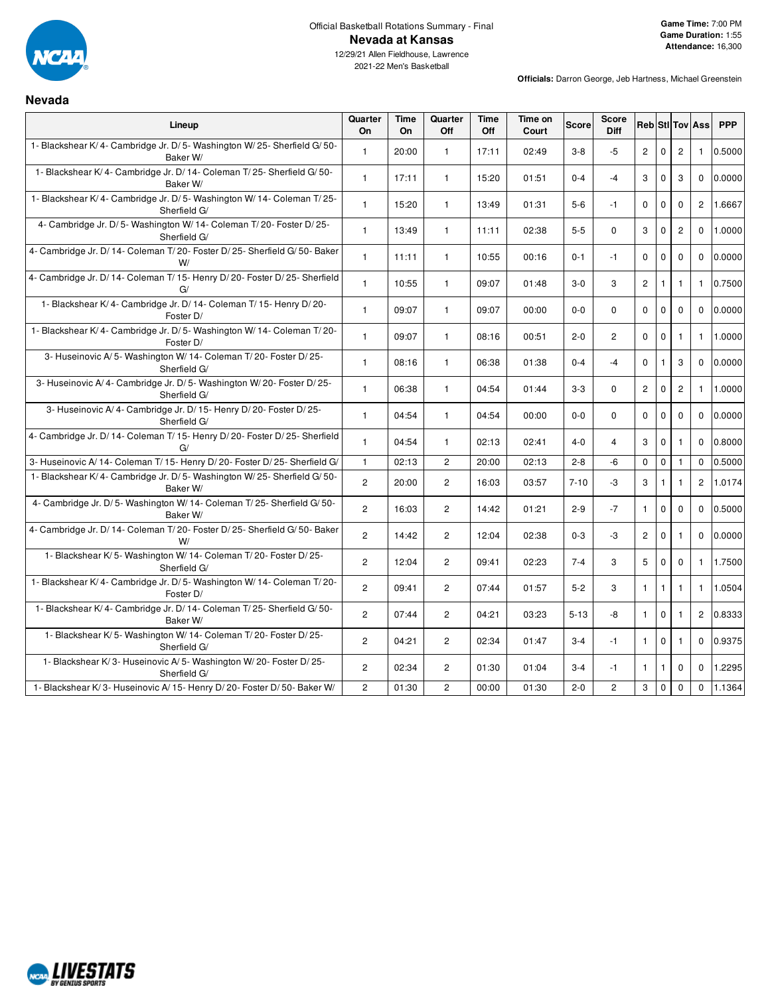

**Nevada**

# Official Basketball Rotations Summary - Final **Nevada at Kansas**

12/29/21 Allen Fieldhouse, Lawrence 2021-22 Men's Basketball

| Lineup                                                                               | Quarter<br>On  | Time<br>On | Quarter<br>Off        | <b>Time</b><br>Off | Time on<br>Court | <b>Score</b> | <b>Score</b><br><b>Diff</b> |                |              |                | <b>RebiStilToviAss</b> | <b>PPP</b> |
|--------------------------------------------------------------------------------------|----------------|------------|-----------------------|--------------------|------------------|--------------|-----------------------------|----------------|--------------|----------------|------------------------|------------|
| 1- Blackshear K/4- Cambridge Jr. D/5- Washington W/25- Sherfield G/50-<br>Baker W/   | $\mathbf{1}$   | 20:00      | $\mathbf{1}$          | 17:11              | 02:49            | $3-8$        | -5                          | $2^{\circ}$    | $\mathbf 0$  | $\overline{c}$ | $\overline{1}$         | 0.5000     |
| 1- Blackshear K/4- Cambridge Jr. D/14- Coleman T/25- Sherfield G/50-<br>Baker W/     | $\mathbf{1}$   | 17:11      | $\mathbf{1}$          | 15:20              | 01:51            | $0 - 4$      | $-4$                        | 3              | $\mathbf 0$  | 3              | $\Omega$               | 0.0000     |
| 1- Blackshear K/4- Cambridge Jr. D/5- Washington W/14- Coleman T/25-<br>Sherfield G/ | $\mathbf{1}$   | 15:20      | $\mathbf{1}$          | 13:49              | 01:31            | $5-6$        | $-1$                        | $\mathbf 0$    | 0            | $\mathbf 0$    | 2                      | 1.6667     |
| 4- Cambridge Jr. D/5- Washington W/14- Coleman T/20- Foster D/25-<br>Sherfield G/    | $\mathbf{1}$   | 13:49      | $\mathbf{1}$          | 11:11              | 02:38            | $5-5$        | $\Omega$                    | 3              | $\mathbf 0$  | $\overline{2}$ | $\Omega$               | 1.0000     |
| 4- Cambridge Jr. D/ 14- Coleman T/ 20- Foster D/ 25- Sherfield G/ 50- Baker<br>W/    | $\mathbf{1}$   | 11:11      | $\mathbf{1}$          | 10:55              | 00:16            | $0 - 1$      | $-1$                        | $\mathbf 0$    | $\mathbf 0$  | $\mathbf{0}$   | $\Omega$               | 0.0000     |
| 4- Cambridge Jr. D/ 14- Coleman T/ 15- Henry D/ 20- Foster D/ 25- Sherfield<br>G/    | $\mathbf{1}$   | 10:55      | $\mathbf{1}$          | 09:07              | 01:48            | $3-0$        | 3                           | $\overline{c}$ | $\mathbf{1}$ | $\mathbf{1}$   | $\mathbf{1}$           | 0.7500     |
| 1- Blackshear K/4- Cambridge Jr. D/14- Coleman T/15- Henry D/20-<br>Foster D/        | $\mathbf{1}$   | 09:07      | $\mathbf{1}$          | 09:07              | 00:00            | $0-0$        | $\mathbf 0$                 | $\mathbf 0$    | $\mathbf 0$  | $\mathbf 0$    | $\mathbf{0}$           | 0.0000     |
| 1- Blackshear K/4- Cambridge Jr. D/5- Washington W/14- Coleman T/20-<br>Foster D/    | $\mathbf{1}$   | 09:07      | $\mathbf{1}$          | 08:16              | 00:51            | $2 - 0$      | $\overline{2}$              | $\mathbf 0$    | $\mathbf 0$  | $\mathbf{1}$   | $\mathbf{1}$           | 1.0000     |
| 3- Huseinovic A/5- Washington W/14- Coleman T/20- Foster D/25-<br>Sherfield G/       | $\mathbf{1}$   | 08:16      | $\mathbf{1}$          | 06:38              | 01:38            | $0 - 4$      | $-4$                        | $\mathbf 0$    | $\mathbf{1}$ | 3              | $\mathbf 0$            | 0.0000     |
| 3- Huseinovic A/4- Cambridge Jr. D/5- Washington W/20- Foster D/25-<br>Sherfield G/  | $\mathbf{1}$   | 06:38      | $\mathbf{1}$          | 04:54              | 01:44            | $3-3$        | $\mathbf 0$                 | $\mathbf{2}$   | $\mathbf 0$  | $\overline{c}$ | $\mathbf{1}$           | 1.0000     |
| 3- Huseinovic A/4- Cambridge Jr. D/15- Henry D/20- Foster D/25-<br>Sherfield G/      | $\mathbf{1}$   | 04:54      | $\mathbf{1}$          | 04:54              | 00:00            | $0-0$        | $\mathbf 0$                 | $\mathbf 0$    | $\mathbf 0$  | $\mathbf 0$    | $\Omega$               | 0.0000     |
| 4- Cambridge Jr. D/ 14- Coleman T/ 15- Henry D/ 20- Foster D/ 25- Sherfield<br>G/    | $\mathbf{1}$   | 04:54      | $\mathbf{1}$          | 02:13              | 02:41            | $4 - 0$      | $\overline{4}$              | 3              | $\mathbf 0$  | $\mathbf{1}$   | $\mathbf 0$            | 0.8000     |
| 3- Huseinovic A/ 14- Coleman T/ 15- Henry D/ 20- Foster D/ 25- Sherfield G/          | $\mathbf{1}$   | 02:13      | $\mathbf{2}^{\prime}$ | 20:00              | 02:13            | $2 - 8$      | -6                          | 0              | $\mathbf 0$  | $\mathbf{1}$   | $\mathbf{0}$           | 0.5000     |
| 1- Blackshear K/4- Cambridge Jr. D/5- Washington W/25- Sherfield G/50-<br>Baker W/   | $\overline{2}$ | 20:00      | $\overline{2}$        | 16:03              | 03:57            | $7 - 10$     | -3                          | 3              | 1            | $\mathbf{1}$   | 2                      | 1.0174     |
| 4- Cambridge Jr. D/5- Washington W/14- Coleman T/25- Sherfield G/50-<br>Baker W/     | $\overline{2}$ | 16:03      | $\overline{c}$        | 14:42              | 01:21            | $2 - 9$      | $-7$                        | $\mathbf{1}$   | $\mathbf 0$  | $\mathbf 0$    | $\Omega$               | 0.5000     |
| 4- Cambridge Jr. D/ 14- Coleman T/ 20- Foster D/ 25- Sherfield G/ 50- Baker<br>W/    | $\overline{2}$ | 14:42      | $\overline{2}$        | 12:04              | 02:38            | $0 - 3$      | -3                          | $\mathbf{2}$   | 0            | $\mathbf{1}$   | $\mathbf{0}$           | 0.0000     |
| 1- Blackshear K/5- Washington W/14- Coleman T/20- Foster D/25-<br>Sherfield G/       | $\overline{2}$ | 12:04      | $\overline{2}$        | 09:41              | 02:23            | $7 - 4$      | 3                           | 5              | $\mathbf 0$  | $\mathbf{0}$   | $\mathbf{1}$           | 1.7500     |
| 1- Blackshear K/4- Cambridge Jr. D/5- Washington W/14- Coleman T/20-<br>Foster D/    | $\overline{2}$ | 09:41      | $\overline{2}$        | 07:44              | 01:57            | $5 - 2$      | 3                           | $\mathbf{1}$   | $\mathbf{1}$ | $\mathbf{1}$   | $\mathbf{1}$           | 1.0504     |
| 1- Blackshear K/4- Cambridge Jr. D/14- Coleman T/25- Sherfield G/50-<br>Baker W/     | $\mathbf{2}$   | 07:44      | $\mathbf{2}^{\prime}$ | 04:21              | 03:23            | $5 - 13$     | -8                          | $\mathbf{1}$   | 0            | $\mathbf{1}$   | $\overline{c}$         | 0.8333     |
| 1- Blackshear K/5- Washington W/14- Coleman T/20- Foster D/25-<br>Sherfield G/       | $\mathbf{2}$   | 04:21      | $\mathbf{2}^{\prime}$ | 02:34              | 01:47            | $3 - 4$      | $-1$                        | $\mathbf{1}$   | $\mathbf 0$  | $\mathbf{1}$   | $\mathbf 0$            | 0.9375     |
| 1- Blackshear K/3- Huseinovic A/5- Washington W/20- Foster D/25-<br>Sherfield G/     | $\mathbf{2}$   | 02:34      | $\mathbf{2}^{\prime}$ | 01:30              | 01:04            | $3 - 4$      | $-1$                        | $\mathbf{1}$   | 1            | $\mathbf 0$    | $\mathbf 0$            | 1.2295     |
| 1- Blackshear K/3- Huseinovic A/15- Henry D/20- Foster D/50- Baker W/                | $\overline{2}$ | 01:30      | $\overline{2}$        | 00:00              | 01:30            | $2 - 0$      | $\overline{2}$              | 3              | $\mathbf 0$  | $\mathbf{0}$   | $\mathbf 0$            | 1.1364     |

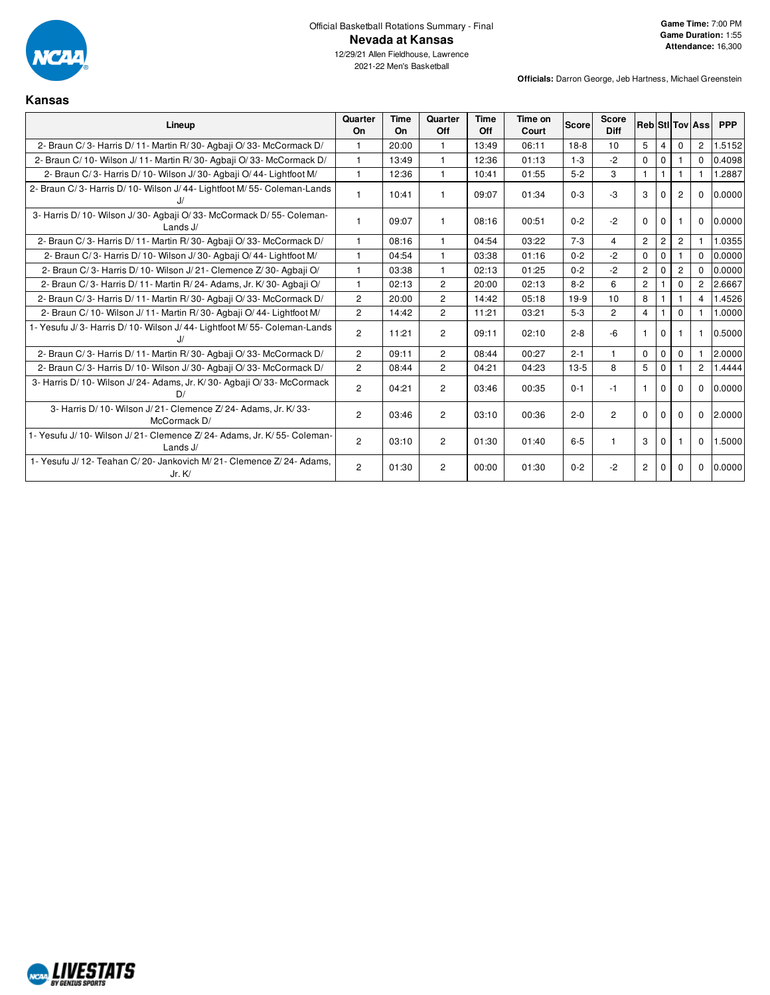

**Kansas**

12/29/21 Allen Fieldhouse, Lawrence 2021-22 Men's Basketball

| Lineup                                                                             | Quarter<br>On        | Time<br>On | Quarter<br>Off | Time<br>Off | Time on<br>Court | <b>Score</b> | <b>Score</b><br><b>Diff</b> |                |                |                | <b>RebiStilToviAss</b> | <b>PPP</b> |
|------------------------------------------------------------------------------------|----------------------|------------|----------------|-------------|------------------|--------------|-----------------------------|----------------|----------------|----------------|------------------------|------------|
| 2- Braun C/3- Harris D/11- Martin R/30- Agbaii O/33- McCormack D/                  | 1                    | 20:00      | -1             | 13:49       | 06:11            | $18-8$       | 10                          | $5^{\circ}$    | 4              | $\Omega$       | $\overline{2}$         | 1.5152     |
| 2- Braun C/ 10- Wilson J/ 11- Martin R/ 30- Agbaji O/ 33- McCormack D/             | 1                    | 13:49      |                | 12:36       | 01:13            | $1 - 3$      | $-2$                        | $\mathbf 0$    | $\Omega$       |                | $\Omega$               | 0.4098     |
| 2- Braun C/3- Harris D/10- Wilson J/30- Agbaji O/44- Lightfoot M/                  | 1                    | 12:36      |                | 10:41       | 01:55            | $5 - 2$      | 3                           |                |                |                |                        | 1.2887     |
| 2- Braun C/3- Harris D/10- Wilson J/44- Lightfoot M/55- Coleman-Lands              | 1                    | 10:41      |                | 09:07       | 01:34            | $0 - 3$      | $-3$                        | 3              |                | $\overline{2}$ | $\Omega$               | 0.0000     |
| 3- Harris D/ 10- Wilson J/ 30- Agbaji O/ 33- McCormack D/ 55- Coleman-<br>Lands J/ | -1                   | 09:07      | $\mathbf 1$    | 08:16       | 00:51            | $0 - 2$      | $-2$                        | $\Omega$       | $\Omega$       |                | $\Omega$               | 0.0000     |
| 2- Braun C/3- Harris D/11- Martin R/30- Agbaii O/33- McCormack D/                  | $\mathbf{1}$         | 08:16      | $\overline{1}$ | 04:54       | 03:22            | $7 - 3$      | $\overline{4}$              | $\overline{2}$ | $\overline{2}$ | $\overline{2}$ |                        | 1.0355     |
| 2- Braun C/3- Harris D/10- Wilson J/30- Agbaji O/44- Lightfoot M/                  | $\mathbf{1}$         | 04:54      | $\mathbf{1}$   | 03:38       | 01:16            | $0 - 2$      | $-2$                        | $\Omega$       | $\Omega$       |                | $\Omega$               | 0.0000     |
| 2- Braun C/3- Harris D/10- Wilson J/21- Clemence Z/30- Agbaji O/                   | $\mathbf{1}$         | 03:38      | $\mathbf{1}$   | 02:13       | 01:25            | $0 - 2$      | $-2$                        | $\overline{2}$ | $\Omega$       | $\overline{2}$ | $\Omega$               | 0.0000     |
| 2- Braun C/3- Harris D/11- Martin R/24- Adams, Jr. K/30- Agbaji O/                 | $\mathbf{1}$         | 02:13      | $\overline{2}$ | 20:00       | 02:13            | $8 - 2$      | 6                           | $\overline{2}$ |                | 0              | $\overline{2}$         | 2.6667     |
| 2- Braun C/3- Harris D/11- Martin R/30- Agbaji O/33- McCormack D/                  | $\overline{2}$       | 20:00      | $\overline{c}$ | 14:42       | 05:18            | $19-9$       | 10                          | 8              |                |                | 4                      | 1.4526     |
| 2- Braun C/ 10- Wilson J/ 11- Martin R/ 30- Agbaji O/ 44- Lightfoot M/             | $\overline{2}$       | 14:42      | $\overline{2}$ | 11:21       | 03:21            | $5 - 3$      | $\overline{2}$              | $\overline{4}$ |                | $\Omega$       |                        | 1.0000     |
| 1- Yesufu J/3- Harris D/10- Wilson J/44- Lightfoot M/55- Coleman-Lands             | $\overline{2}$       | 11:21      | $\overline{2}$ | 09:11       | 02:10            | $2 - 8$      | $-6$                        |                | $\Omega$       |                |                        | 0.5000     |
| 2- Braun C/3- Harris D/11- Martin R/30- Agbaji O/33- McCormack D/                  | $\overline{2}$       | 09:11      | 2              | 08:44       | 00:27            | $2 - 1$      | $\mathbf{1}$                | $\Omega$       | $\mathbf 0$    | $\Omega$       |                        | 2.0000     |
| 2- Braun C/3- Harris D/10- Wilson J/30- Agbaii O/33- McCormack D/                  | $\mathbf{2}^{\circ}$ | 08:44      | 2              | 04:21       | 04:23            | $13-5$       | 8                           | 5              | $\Omega$       |                | $\overline{2}$         | 1.4444     |
| 3- Harris D/ 10- Wilson J/ 24- Adams, Jr. K/ 30- Agbaji O/ 33- McCormack           | $\overline{2}$       | 04:21      | 2              | 03:46       | 00:35            | $0 - 1$      | -1                          |                | $\Omega$       | $\Omega$       | $\Omega$               | 0.0000     |
| 3- Harris D/ 10- Wilson J/ 21- Clemence Z/ 24- Adams, Jr. K/ 33-<br>McCormack D/   | $\overline{2}$       | 03:46      | $\overline{c}$ | 03:10       | 00:36            | $2 - 0$      | $\overline{2}$              | $\Omega$       | $\Omega$       | $\Omega$       | $\Omega$               | 2.0000     |
| 1- Yesufu J/10- Wilson J/21- Clemence Z/24- Adams, Jr. K/55- Coleman-<br>Lands J/  | $\overline{2}$       | 03:10      | 2              | 01:30       | 01:40            | $6-5$        |                             | 3              | $\Omega$       |                | $\mathbf 0$            | 1.5000     |
| 1- Yesufu J/12- Teahan C/20- Jankovich M/21- Clemence Z/24- Adams.<br>Jr. K/       | $\overline{2}$       | 01:30      | $\overline{c}$ | 00:00       | 01:30            | $0 - 2$      | $-2$                        | $\overline{c}$ | $\Omega$       | $\mathbf 0$    | $\mathbf 0$            | 0.0000     |

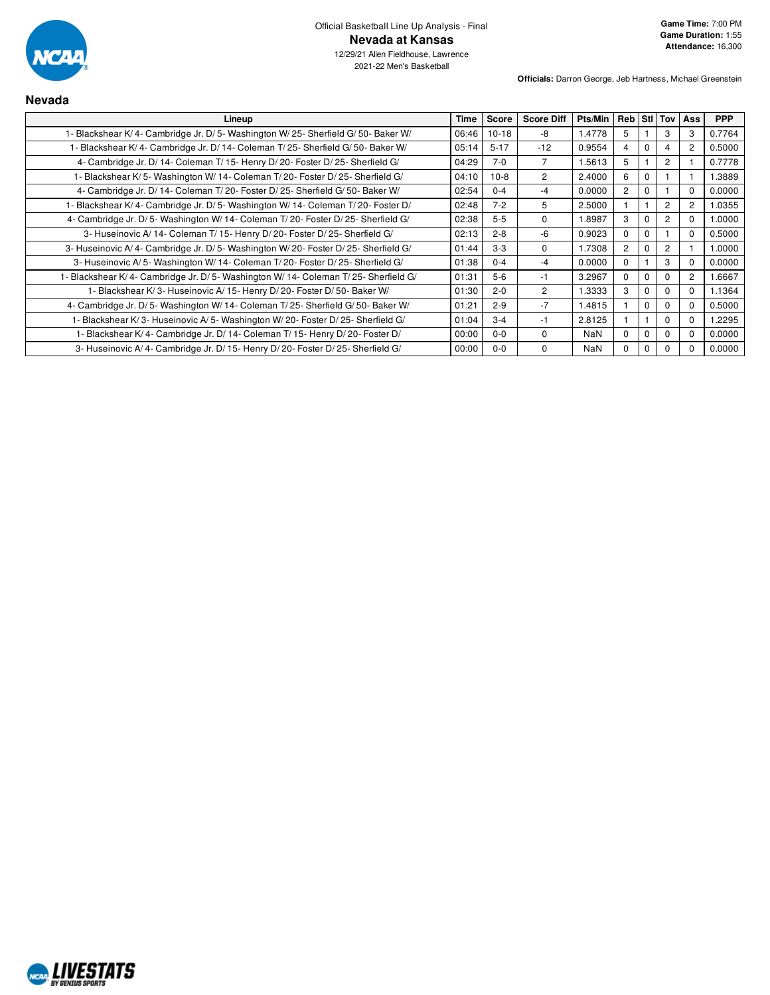

**Nevada**

2021-22 Men's Basketball

| Lineup                                                                            | Time  | Score    | <b>Score Diff</b> | <b>Pts/Min</b> | Reb Stil Tov   Ass |             |                |             | <b>PPP</b> |
|-----------------------------------------------------------------------------------|-------|----------|-------------------|----------------|--------------------|-------------|----------------|-------------|------------|
| 1- Blackshear K/4- Cambridge Jr. D/5- Washington W/25- Sherfield G/50- Baker W/   | 06:46 | $10-18$  | -8                | 1.4778         | 5                  |             | 3              | 3           | 0.7764     |
| I- Blackshear K/4- Cambridge Jr. D/14- Coleman T/25- Sherfield G/50- Baker W/     | 05:14 | $5 - 17$ | $-12$             | 0.9554         | $\overline{4}$     | $\Omega$    | 4              | 2           | 0.5000     |
| 4- Cambridge Jr. D/14- Coleman T/15- Henry D/20- Foster D/25- Sherfield G/        | 04:29 | $7-0$    | 7                 | 1.5613         | 5                  |             | $\overline{2}$ |             | 0.7778     |
| - Blackshear K/5- Washington W/14- Coleman T/20- Foster D/25- Sherfield G/        | 04:10 | $10-8$   | $\overline{2}$    | 2.4000         | 6                  | $\Omega$    |                |             | 1.3889     |
| 4- Cambridge Jr. D/14- Coleman T/20- Foster D/25- Sherfield G/50- Baker W/        | 02:54 | $0 - 4$  | $-4$              | 0.0000         | $\overline{2}$     | $\Omega$    |                | $\Omega$    | 0.0000     |
| 1- Blackshear K/4- Cambridge Jr. D/5- Washington W/14- Coleman T/20- Foster D/    | 02:48 | $7 - 2$  | 5                 | 2.5000         |                    |             | 2              | 2           | 1.0355     |
| 4- Cambridge Jr. D/5- Washington W/14- Coleman T/20- Foster D/25- Sherfield G/    | 02:38 | $5 - 5$  | $\Omega$          | 1.8987         | 3                  | $\Omega$    | $\overline{2}$ | $\Omega$    | 1.0000     |
| 3- Huseinovic A/ 14- Coleman T/ 15- Henry D/ 20- Foster D/ 25- Sherfield G/       | 02:13 | $2 - 8$  | -6                | 0.9023         | $\Omega$           | $\Omega$    |                | $\Omega$    | 0.5000     |
| 3- Huseinovic A/4- Cambridge Jr. D/5- Washington W/20- Foster D/25- Sherfield G/  | 01:44 | $3 - 3$  | 0                 | 1.7308         | $\overline{2}$     | 0           | 2              |             | 1.0000     |
| 3- Huseinovic A/5- Washington W/14- Coleman T/20- Foster D/25- Sherfield G/       | 01:38 | $0 - 4$  | $-4$              | 0.0000         | 0                  |             | 3              | $\Omega$    | 0.0000     |
| 1- Blackshear K/4- Cambridge Jr. D/5- Washington W/14- Coleman T/25- Sherfield G/ | 01:31 | $5-6$    | $-1$              | 3.2967         | $\Omega$           | $\Omega$    | $\Omega$       | 2           | 1.6667     |
| 1- Blackshear K/3- Huseinovic A/15- Henry D/20- Foster D/50- Baker W/             | 01:30 | $2 - 0$  | 2                 | 1.3333         | 3                  | 0           | $\mathbf 0$    | $\Omega$    | 1.1364     |
| 4- Cambridge Jr. D/5- Washington W/14- Coleman T/25- Sherfield G/50- Baker W/     | 01:21 | $2 - 9$  | $-7$              | 1.4815         |                    | 0           | $\Omega$       | $\mathbf 0$ | 0.5000     |
| 1- Blackshear K/3- Huseinovic A/5- Washington W/20- Foster D/25- Sherfield G/     | 01:04 | $3 - 4$  | -1                | 2.8125         |                    |             | $\Omega$       | $\Omega$    | 1.2295     |
| 1- Blackshear K/4- Cambridge Jr. D/14- Coleman T/15- Henry D/20- Foster D/        | 00:00 | $0-0$    | 0                 | <b>NaN</b>     | $\Omega$           | $\mathbf 0$ | $\Omega$       | $\Omega$    | 0.0000     |
| 3- Huseinovic A/4- Cambridge Jr. D/15- Henry D/20- Foster D/25- Sherfield G/      | 00:00 | $0-0$    | 0                 | NaN            | $\Omega$           | $\Omega$    | $\Omega$       | $\Omega$    | 0.0000     |